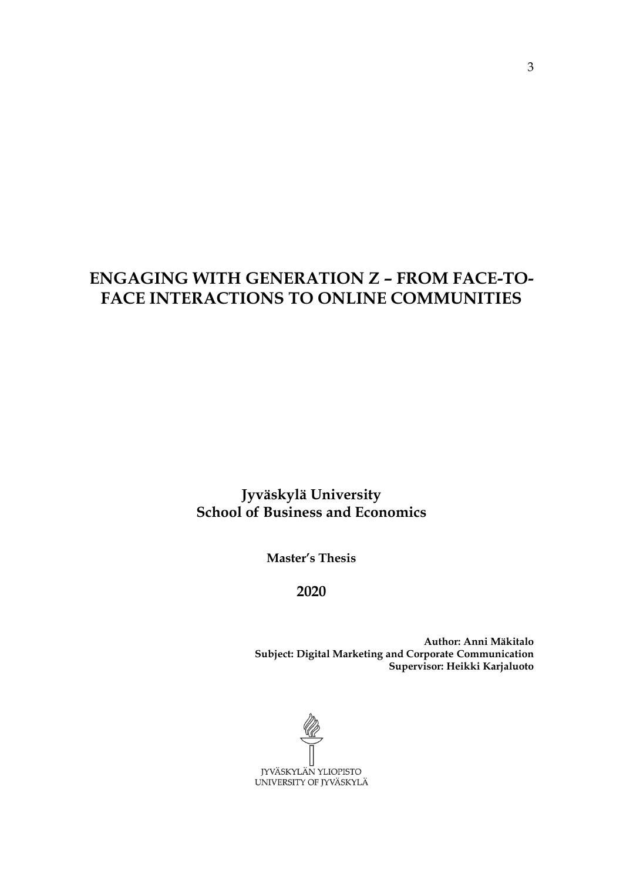# **ENGAGING WITH GENERATION Z – FROM FACE-TO-FACE INTERACTIONS TO ONLINE COMMUNITIES**

**Jyväskylä University School of Business and Economics**

**Master's Thesis**

**2020**

**Author: Anni Mäkitalo Subject: Digital Marketing and Corporate Communication Supervisor: Heikki Karjaluoto**

JYVÄSKYLÄN YLIOPISTO UNIVERSITY OF JYVÄSKYLÄ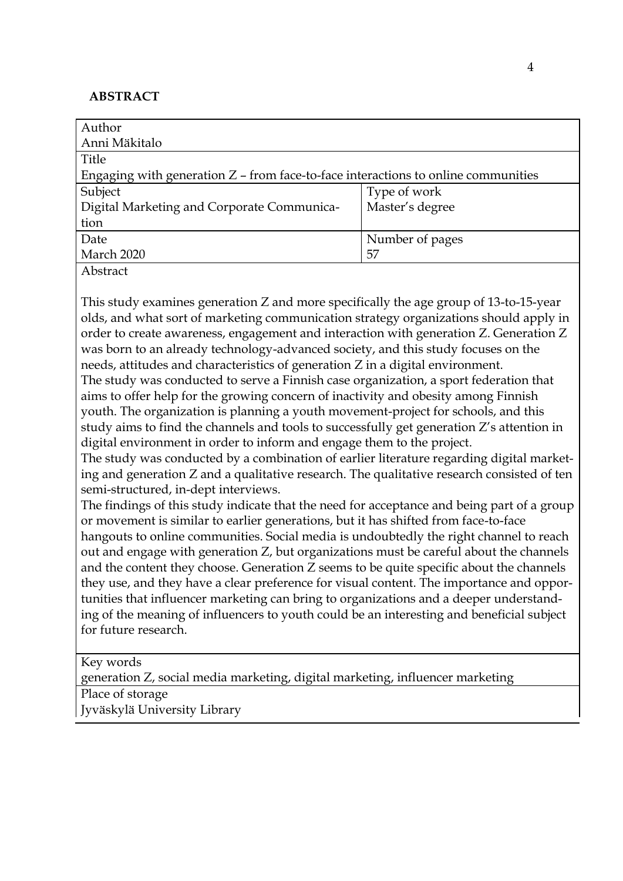## **ABSTRACT**

| Author                                                                              |                 |
|-------------------------------------------------------------------------------------|-----------------|
| Anni Mäkitalo                                                                       |                 |
| Title                                                                               |                 |
| Engaging with generation $Z$ – from face-to-face interactions to online communities |                 |
| Subject                                                                             | Type of work    |
| Digital Marketing and Corporate Communica-                                          | Master's degree |
| tion                                                                                |                 |
| Date                                                                                | Number of pages |
| March 2020                                                                          | 57              |
| Abstract                                                                            |                 |

This study examines generation Z and more specifically the age group of 13-to-15-year olds, and what sort of marketing communication strategy organizations should apply in order to create awareness, engagement and interaction with generation Z. Generation Z was born to an already technology-advanced society, and this study focuses on the needs, attitudes and characteristics of generation Z in a digital environment. The study was conducted to serve a Finnish case organization, a sport federation that aims to offer help for the growing concern of inactivity and obesity among Finnish youth. The organization is planning a youth movement-project for schools, and this study aims to find the channels and tools to successfully get generation Z's attention in digital environment in order to inform and engage them to the project.

The study was conducted by a combination of earlier literature regarding digital marketing and generation Z and a qualitative research. The qualitative research consisted of ten semi-structured, in-dept interviews.

The findings of this study indicate that the need for acceptance and being part of a group or movement is similar to earlier generations, but it has shifted from face-to-face hangouts to online communities. Social media is undoubtedly the right channel to reach out and engage with generation Z, but organizations must be careful about the channels and the content they choose. Generation Z seems to be quite specific about the channels they use, and they have a clear preference for visual content. The importance and opportunities that influencer marketing can bring to organizations and a deeper understanding of the meaning of influencers to youth could be an interesting and beneficial subject for future research.

Key words

generation Z, social media marketing, digital marketing, influencer marketing

Place of storage

Jyväskylä University Library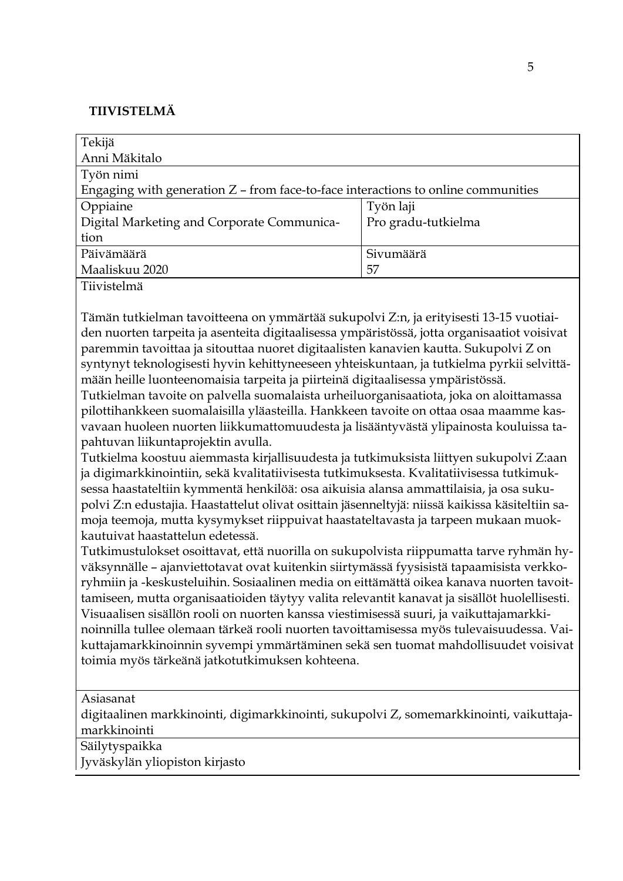## **TIIVISTELMÄ**

| Tekijä                                                                              |                     |
|-------------------------------------------------------------------------------------|---------------------|
| Anni Mäkitalo                                                                       |                     |
| Työn nimi                                                                           |                     |
| Engaging with generation $Z$ – from face-to-face interactions to online communities |                     |
| Oppiaine                                                                            | Työn laji           |
| Digital Marketing and Corporate Communica-                                          | Pro gradu-tutkielma |
| tion                                                                                |                     |
| Päivämäärä                                                                          | Sivumäärä           |
| Maaliskuu 2020                                                                      | 57                  |
| Tiivistelmä                                                                         |                     |

Tämän tutkielman tavoitteena on ymmärtää sukupolvi Z:n, ja erityisesti 13-15 vuotiaiden nuorten tarpeita ja asenteita digitaalisessa ympäristössä, jotta organisaatiot voisivat paremmin tavoittaa ja sitouttaa nuoret digitaalisten kanavien kautta. Sukupolvi Z on syntynyt teknologisesti hyvin kehittyneeseen yhteiskuntaan, ja tutkielma pyrkii selvittämään heille luonteenomaisia tarpeita ja piirteinä digitaalisessa ympäristössä.

Tutkielman tavoite on palvella suomalaista urheiluorganisaatiota, joka on aloittamassa pilottihankkeen suomalaisilla yläasteilla. Hankkeen tavoite on ottaa osaa maamme kasvavaan huoleen nuorten liikkumattomuudesta ja lisääntyvästä ylipainosta kouluissa tapahtuvan liikuntaprojektin avulla.

Tutkielma koostuu aiemmasta kirjallisuudesta ja tutkimuksista liittyen sukupolvi Z:aan ja digimarkkinointiin, sekä kvalitatiivisesta tutkimuksesta. Kvalitatiivisessa tutkimuksessa haastateltiin kymmentä henkilöä: osa aikuisia alansa ammattilaisia, ja osa sukupolvi Z:n edustajia. Haastattelut olivat osittain jäsenneltyjä: niissä kaikissa käsiteltiin samoja teemoja, mutta kysymykset riippuivat haastateltavasta ja tarpeen mukaan muokkautuivat haastattelun edetessä.

Tutkimustulokset osoittavat, että nuorilla on sukupolvista riippumatta tarve ryhmän hyväksynnälle – ajanviettotavat ovat kuitenkin siirtymässä fyysisistä tapaamisista verkkoryhmiin ja -keskusteluihin. Sosiaalinen media on eittämättä oikea kanava nuorten tavoittamiseen, mutta organisaatioiden täytyy valita relevantit kanavat ja sisällöt huolellisesti. Visuaalisen sisällön rooli on nuorten kanssa viestimisessä suuri, ja vaikuttajamarkkinoinnilla tullee olemaan tärkeä rooli nuorten tavoittamisessa myös tulevaisuudessa. Vaikuttajamarkkinoinnin syvempi ymmärtäminen sekä sen tuomat mahdollisuudet voisivat toimia myös tärkeänä jatkotutkimuksen kohteena.

Asiasanat

digitaalinen markkinointi, digimarkkinointi, sukupolvi Z, somemarkkinointi, vaikuttajamarkkinointi

Säilytyspaikka

Jyväskylän yliopiston kirjasto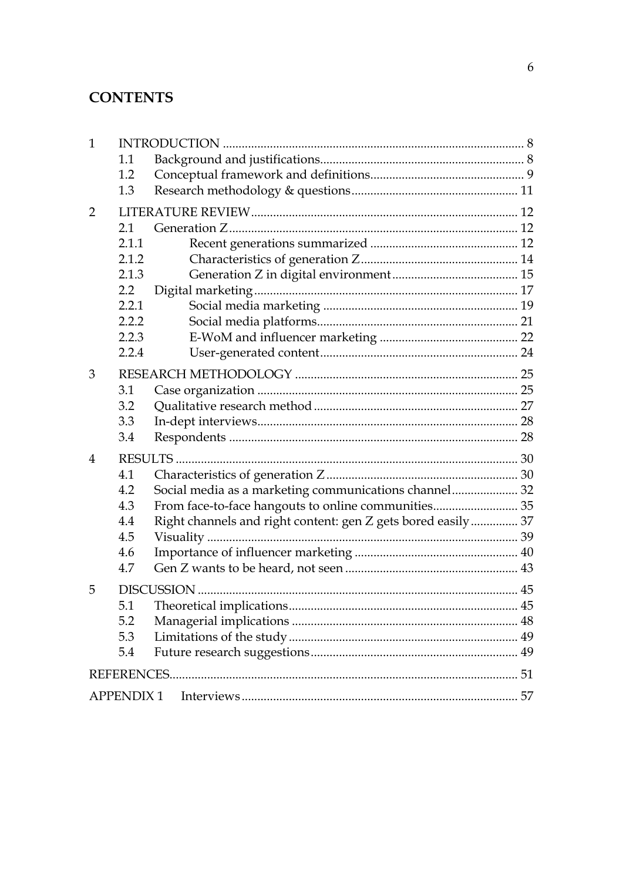# **CONTENTS**

| $\mathbf{1}$   |                  |                                                              |  |
|----------------|------------------|--------------------------------------------------------------|--|
|                | 1.1              |                                                              |  |
|                | 1.2              |                                                              |  |
|                | 1.3              |                                                              |  |
| 2              |                  |                                                              |  |
|                | 2.1              |                                                              |  |
|                | 2.1.1            |                                                              |  |
|                | 2.1.2            |                                                              |  |
|                | 2.1.3            |                                                              |  |
|                | $2.2\phantom{0}$ |                                                              |  |
|                | 2.2.1            |                                                              |  |
|                | 2.2.2            |                                                              |  |
|                | 2.2.3            |                                                              |  |
|                | 2.2.4            |                                                              |  |
| 3              |                  |                                                              |  |
|                | 3.1              |                                                              |  |
|                | 3.2              |                                                              |  |
|                | 3.3              |                                                              |  |
|                | 3.4              |                                                              |  |
| $\overline{4}$ |                  |                                                              |  |
|                | 4.1              |                                                              |  |
|                | 4.2              | Social media as a marketing communications channel 32        |  |
|                | 4.3              | From face-to-face hangouts to online communities 35          |  |
|                | 4.4              | Right channels and right content: gen Z gets bored easily 37 |  |
|                | 4.5              |                                                              |  |
|                | 4.6              |                                                              |  |
|                | 4.7              |                                                              |  |
| 5              |                  |                                                              |  |
|                | 5.1              |                                                              |  |
|                | 5.2              |                                                              |  |
|                | 5.3              |                                                              |  |
|                | 5.4              |                                                              |  |
|                |                  |                                                              |  |
|                | <b>APPENDIX1</b> |                                                              |  |
|                |                  |                                                              |  |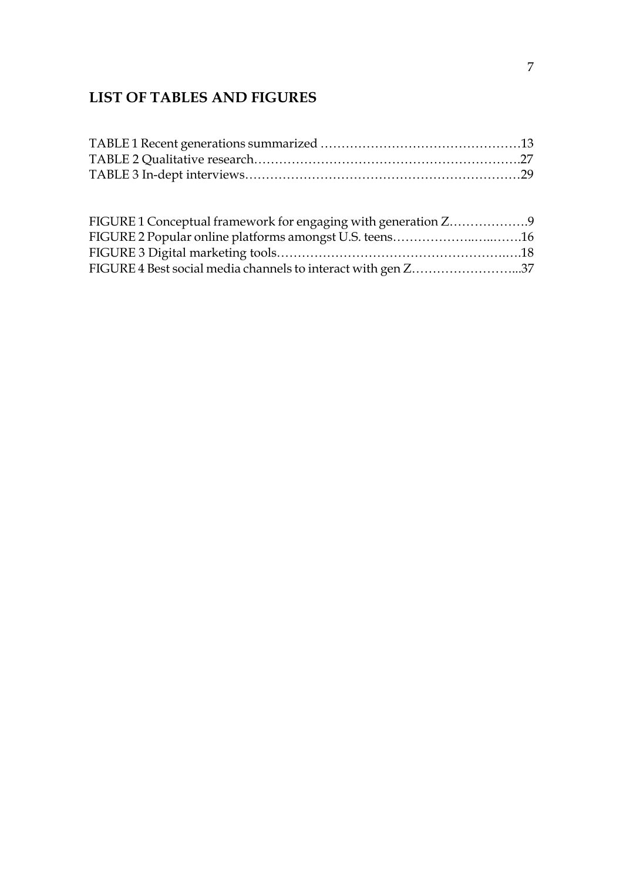# **LIST OF TABLES AND FIGURES**

| FIGURE 1 Conceptual framework for engaging with generation Z9 |  |
|---------------------------------------------------------------|--|
| FIGURE 2 Popular online platforms amongst U.S. teens16        |  |
|                                                               |  |
| FIGURE 4 Best social media channels to interact with gen Z37  |  |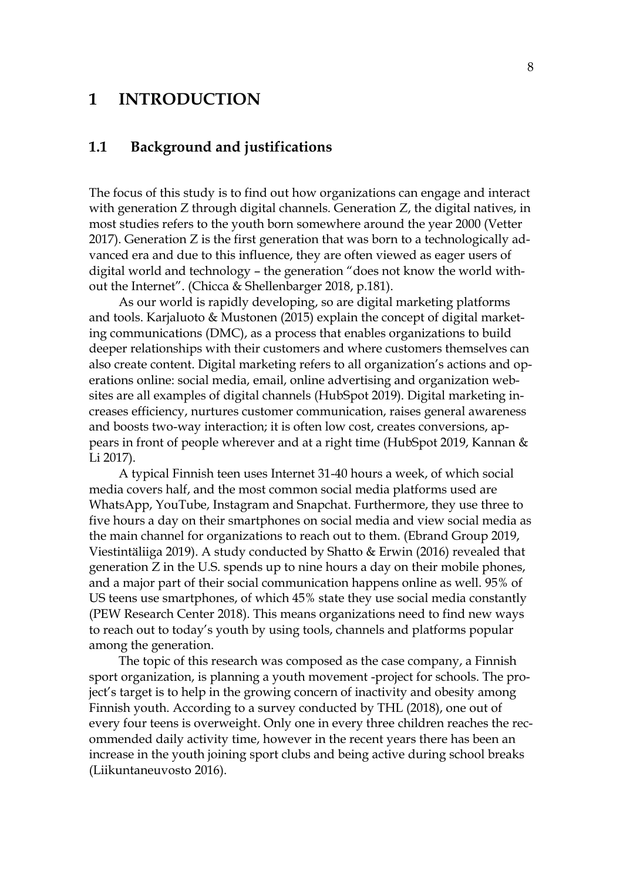## <span id="page-5-0"></span>**1 INTRODUCTION**

## <span id="page-5-1"></span>**1.1 Background and justifications**

The focus of this study is to find out how organizations can engage and interact with generation Z through digital channels. Generation Z, the digital natives, in most studies refers to the youth born somewhere around the year 2000 (Vetter 2017). Generation Z is the first generation that was born to a technologically advanced era and due to this influence, they are often viewed as eager users of digital world and technology – the generation "does not know the world without the Internet". (Chicca & Shellenbarger 2018, p.181).

As our world is rapidly developing, so are digital marketing platforms and tools. Karjaluoto & Mustonen (2015) explain the concept of digital marketing communications (DMC), as a process that enables organizations to build deeper relationships with their customers and where customers themselves can also create content. Digital marketing refers to all organization's actions and operations online: social media, email, online advertising and organization websites are all examples of digital channels (HubSpot 2019). Digital marketing increases efficiency, nurtures customer communication, raises general awareness and boosts two-way interaction; it is often low cost, creates conversions, appears in front of people wherever and at a right time (HubSpot 2019, Kannan & Li 2017).

A typical Finnish teen uses Internet 31-40 hours a week, of which social media covers half, and the most common social media platforms used are WhatsApp, YouTube, Instagram and Snapchat. Furthermore, they use three to five hours a day on their smartphones on social media and view social media as the main channel for organizations to reach out to them. (Ebrand Group 2019, Viestintäliiga 2019). A study conducted by Shatto & Erwin (2016) revealed that generation Z in the U.S. spends up to nine hours a day on their mobile phones, and a major part of their social communication happens online as well. 95% of US teens use smartphones, of which 45% state they use social media constantly (PEW Research Center 2018). This means organizations need to find new ways to reach out to today's youth by using tools, channels and platforms popular among the generation.

The topic of this research was composed as the case company, a Finnish sport organization, is planning a youth movement -project for schools. The project's target is to help in the growing concern of inactivity and obesity among Finnish youth. According to a survey conducted by THL (2018), one out of every four teens is overweight. Only one in every three children reaches the recommended daily activity time, however in the recent years there has been an increase in the youth joining sport clubs and being active during school breaks (Liikuntaneuvosto 2016).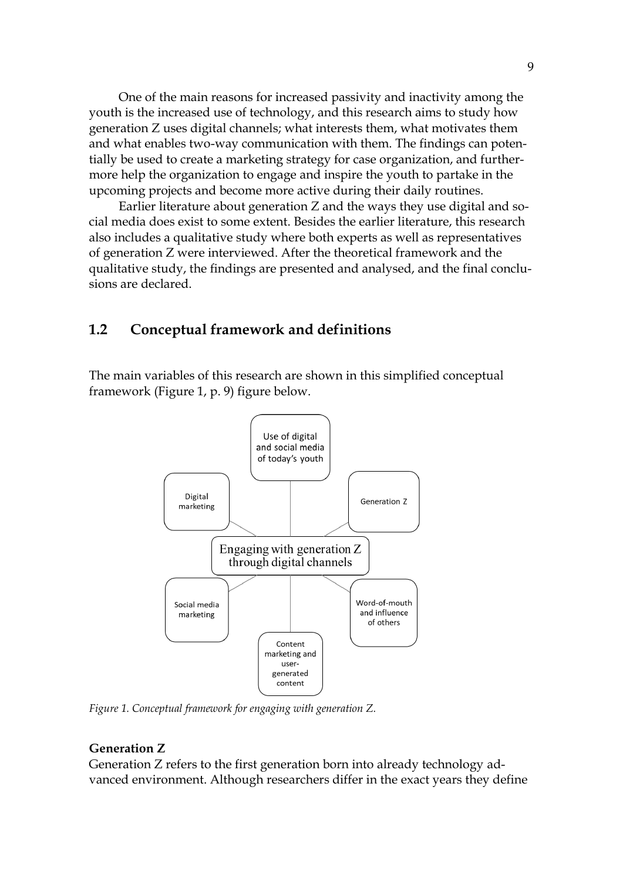One of the main reasons for increased passivity and inactivity among the youth is the increased use of technology, and this research aims to study how generation Z uses digital channels; what interests them, what motivates them and what enables two-way communication with them. The findings can potentially be used to create a marketing strategy for case organization, and furthermore help the organization to engage and inspire the youth to partake in the upcoming projects and become more active during their daily routines.

Earlier literature about generation Z and the ways they use digital and social media does exist to some extent. Besides the earlier literature, this research also includes a qualitative study where both experts as well as representatives of generation Z were interviewed. After the theoretical framework and the qualitative study, the findings are presented and analysed, and the final conclusions are declared.

## <span id="page-6-0"></span>**1.2 Conceptual framework and definitions**

The main variables of this research are shown in this simplified conceptual framework (Figure 1, p. 9) figure below.



*Figure 1. Conceptual framework for engaging with generation Z.*

#### **Generation Z**

Generation Z refers to the first generation born into already technology advanced environment. Although researchers differ in the exact years they define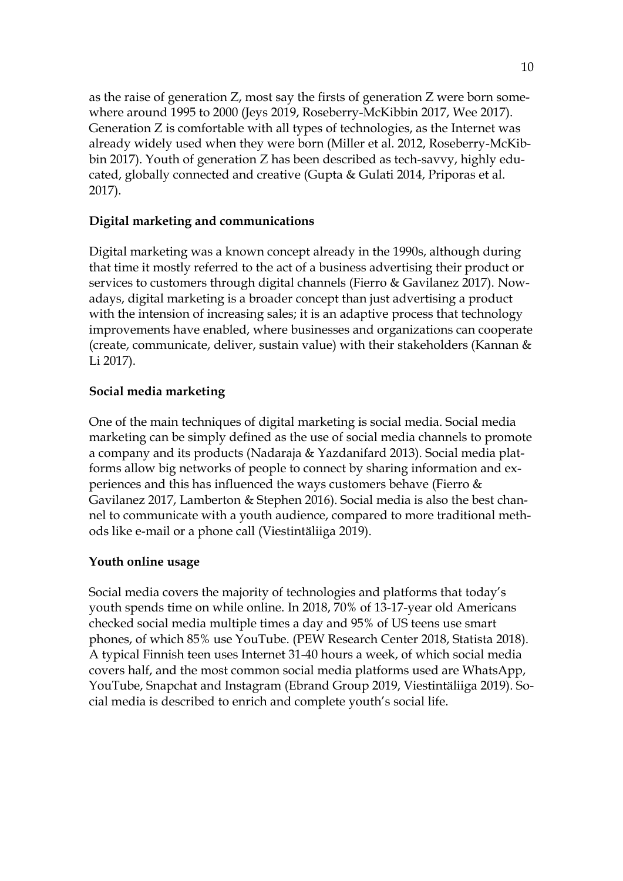as the raise of generation Z, most say the firsts of generation Z were born somewhere around 1995 to 2000 (Jeys 2019, Roseberry-McKibbin 2017, Wee 2017). Generation Z is comfortable with all types of technologies, as the Internet was already widely used when they were born (Miller et al. 2012, Roseberry-McKibbin 2017). Youth of generation Z has been described as tech-savvy, highly educated, globally connected and creative (Gupta & Gulati 2014, Priporas et al. 2017).

## **Digital marketing and communications**

Digital marketing was a known concept already in the 1990s, although during that time it mostly referred to the act of a business advertising their product or services to customers through digital channels (Fierro & Gavilanez 2017). Nowadays, digital marketing is a broader concept than just advertising a product with the intension of increasing sales; it is an adaptive process that technology improvements have enabled, where businesses and organizations can cooperate (create, communicate, deliver, sustain value) with their stakeholders (Kannan & Li 2017).

## **Social media marketing**

One of the main techniques of digital marketing is social media. Social media marketing can be simply defined as the use of social media channels to promote a company and its products (Nadaraja & Yazdanifard 2013). Social media platforms allow big networks of people to connect by sharing information and experiences and this has influenced the ways customers behave (Fierro & Gavilanez 2017, Lamberton & Stephen 2016). Social media is also the best channel to communicate with a youth audience, compared to more traditional methods like e-mail or a phone call (Viestintäliiga 2019).

### **Youth online usage**

Social media covers the majority of technologies and platforms that today's youth spends time on while online. In 2018, 70% of 13-17-year old Americans checked social media multiple times a day and 95% of US teens use smart phones, of which 85% use YouTube. (PEW Research Center 2018, Statista 2018). A typical Finnish teen uses Internet 31-40 hours a week, of which social media covers half, and the most common social media platforms used are WhatsApp, YouTube, Snapchat and Instagram (Ebrand Group 2019, Viestintäliiga 2019). Social media is described to enrich and complete youth's social life.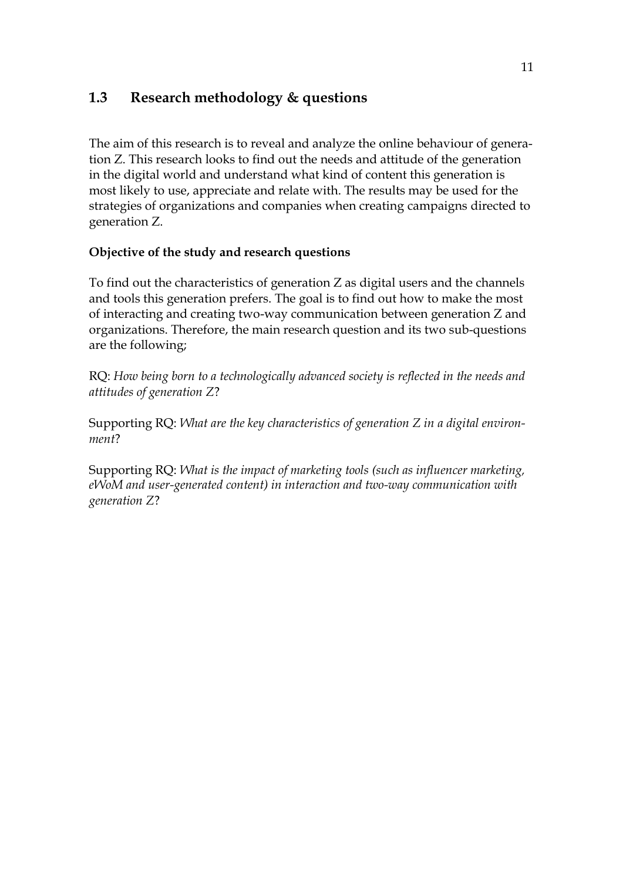## <span id="page-8-0"></span>**1.3 Research methodology & questions**

The aim of this research is to reveal and analyze the online behaviour of generation Z. This research looks to find out the needs and attitude of the generation in the digital world and understand what kind of content this generation is most likely to use, appreciate and relate with. The results may be used for the strategies of organizations and companies when creating campaigns directed to generation Z.

## **Objective of the study and research questions**

To find out the characteristics of generation Z as digital users and the channels and tools this generation prefers. The goal is to find out how to make the most of interacting and creating two-way communication between generation Z and organizations. Therefore, the main research question and its two sub-questions are the following;

RQ: *How being born to a technologically advanced society is reflected in the needs and attitudes of generation Z*?

Supporting RQ: *What are the key characteristics of generation Z in a digital environment*?

Supporting RQ: *What is the impact of marketing tools (such as influencer marketing, eWoM and user-generated content) in interaction and two-way communication with generation Z*?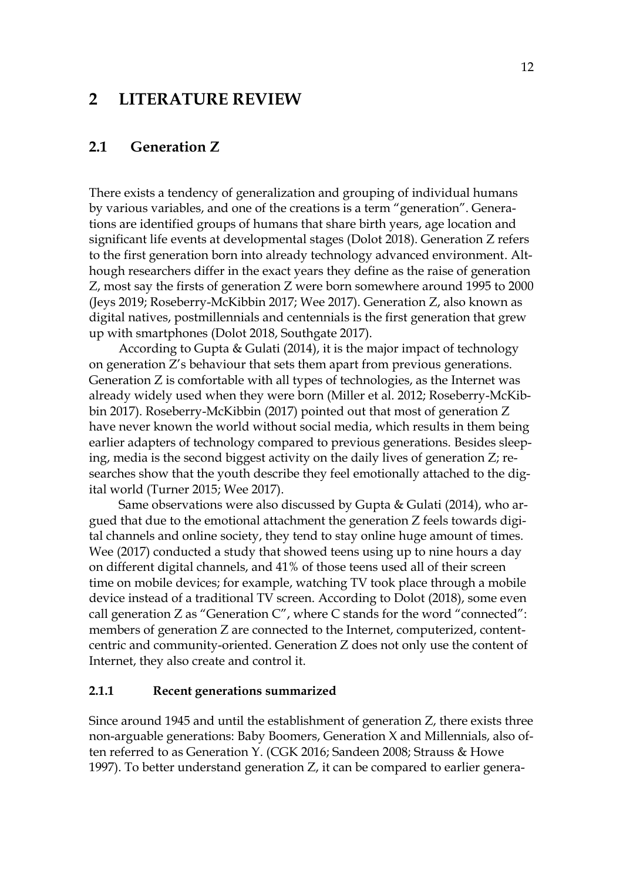## <span id="page-9-0"></span>**2 LITERATURE REVIEW**

## <span id="page-9-1"></span>**2.1 Generation Z**

There exists a tendency of generalization and grouping of individual humans by various variables, and one of the creations is a term "generation". Generations are identified groups of humans that share birth years, age location and significant life events at developmental stages (Dolot 2018). Generation Z refers to the first generation born into already technology advanced environment. Although researchers differ in the exact years they define as the raise of generation Z, most say the firsts of generation Z were born somewhere around 1995 to 2000 (Jeys 2019; Roseberry-McKibbin 2017; Wee 2017). Generation Z, also known as digital natives, postmillennials and centennials is the first generation that grew up with smartphones (Dolot 2018, Southgate 2017).

According to Gupta & Gulati (2014), it is the major impact of technology on generation Z's behaviour that sets them apart from previous generations. Generation Z is comfortable with all types of technologies, as the Internet was already widely used when they were born (Miller et al. 2012; Roseberry-McKibbin 2017). Roseberry-McKibbin (2017) pointed out that most of generation Z have never known the world without social media, which results in them being earlier adapters of technology compared to previous generations. Besides sleeping, media is the second biggest activity on the daily lives of generation Z; researches show that the youth describe they feel emotionally attached to the digital world (Turner 2015; Wee 2017).

Same observations were also discussed by Gupta & Gulati (2014), who argued that due to the emotional attachment the generation Z feels towards digital channels and online society, they tend to stay online huge amount of times. Wee (2017) conducted a study that showed teens using up to nine hours a day on different digital channels, and 41% of those teens used all of their screen time on mobile devices; for example, watching TV took place through a mobile device instead of a traditional TV screen. According to Dolot (2018), some even call generation Z as "Generation C", where C stands for the word "connected": members of generation Z are connected to the Internet, computerized, contentcentric and community-oriented. Generation Z does not only use the content of Internet, they also create and control it.

#### <span id="page-9-2"></span>**2.1.1 Recent generations summarized**

Since around 1945 and until the establishment of generation Z, there exists three non-arguable generations: Baby Boomers, Generation X and Millennials, also often referred to as Generation Y. (CGK 2016; Sandeen 2008; Strauss & Howe 1997). To better understand generation Z, it can be compared to earlier genera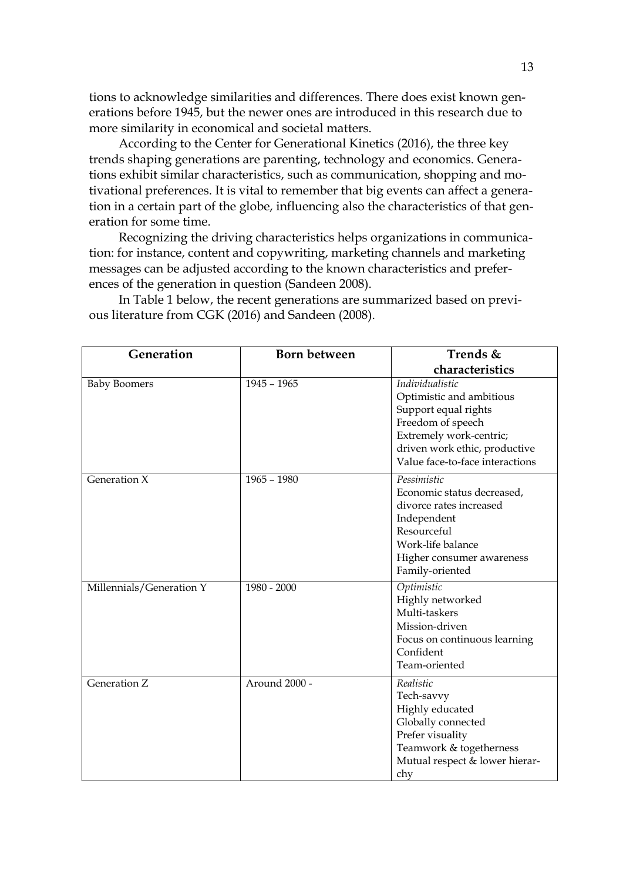tions to acknowledge similarities and differences. There does exist known generations before 1945, but the newer ones are introduced in this research due to more similarity in economical and societal matters.

According to the Center for Generational Kinetics (2016), the three key trends shaping generations are parenting, technology and economics. Generations exhibit similar characteristics, such as communication, shopping and motivational preferences. It is vital to remember that big events can affect a generation in a certain part of the globe, influencing also the characteristics of that generation for some time.

Recognizing the driving characteristics helps organizations in communication: for instance, content and copywriting, marketing channels and marketing messages can be adjusted according to the known characteristics and preferences of the generation in question (Sandeen 2008).

| Generation               | Born between  | Trends &                                                                                                                                                                                |
|--------------------------|---------------|-----------------------------------------------------------------------------------------------------------------------------------------------------------------------------------------|
|                          |               | characteristics                                                                                                                                                                         |
| <b>Baby Boomers</b>      | $1945 - 1965$ | Individualistic<br>Optimistic and ambitious<br>Support equal rights<br>Freedom of speech<br>Extremely work-centric;<br>driven work ethic, productive<br>Value face-to-face interactions |
| Generation X             | $1965 - 1980$ | Pessimistic<br>Economic status decreased,<br>divorce rates increased<br>Independent<br>Resourceful<br>Work-life balance<br>Higher consumer awareness<br>Family-oriented                 |
| Millennials/Generation Y | 1980 - 2000   | Optimistic<br>Highly networked<br>Multi-taskers<br>Mission-driven<br>Focus on continuous learning<br>Confident<br>Team-oriented                                                         |
| Generation Z             | Around 2000 - | Realistic<br>Tech-savvy<br>Highly educated<br>Globally connected<br>Prefer visuality<br>Teamwork & togetherness<br>Mutual respect & lower hierar-<br>chy                                |

In Table 1 below, the recent generations are summarized based on previous literature from CGK (2016) and Sandeen (2008).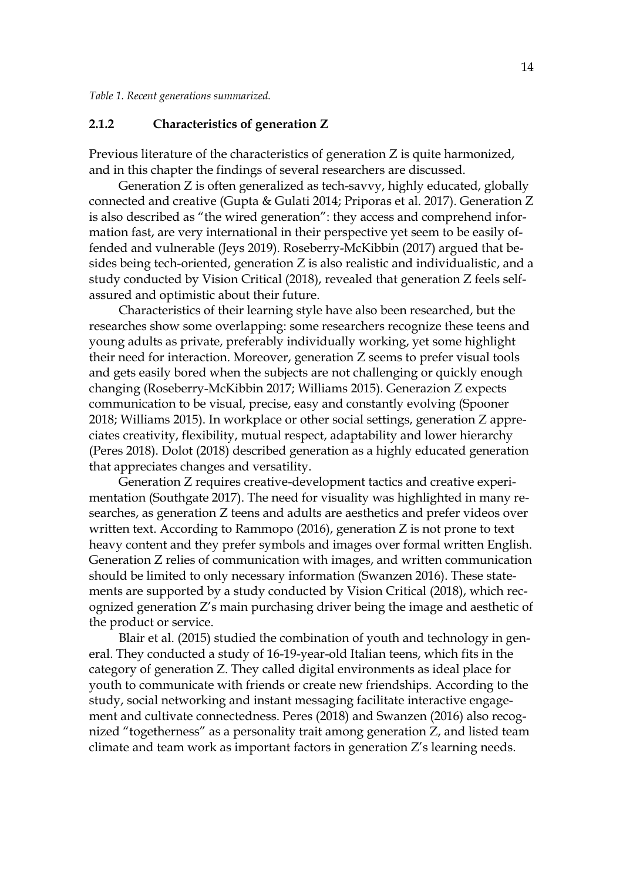*Table 1. Recent generations summarized.*

#### <span id="page-11-0"></span>**2.1.2 Characteristics of generation Z**

Previous literature of the characteristics of generation Z is quite harmonized, and in this chapter the findings of several researchers are discussed.

Generation Z is often generalized as tech-savvy, highly educated, globally connected and creative (Gupta & Gulati 2014; Priporas et al. 2017). Generation Z is also described as "the wired generation": they access and comprehend information fast, are very international in their perspective yet seem to be easily offended and vulnerable (Jeys 2019). Roseberry-McKibbin (2017) argued that besides being tech-oriented, generation Z is also realistic and individualistic, and a study conducted by Vision Critical (2018), revealed that generation Z feels selfassured and optimistic about their future.

Characteristics of their learning style have also been researched, but the researches show some overlapping: some researchers recognize these teens and young adults as private, preferably individually working, yet some highlight their need for interaction. Moreover, generation Z seems to prefer visual tools and gets easily bored when the subjects are not challenging or quickly enough changing (Roseberry-McKibbin 2017; Williams 2015). Generazion Z expects communication to be visual, precise, easy and constantly evolving (Spooner 2018; Williams 2015). In workplace or other social settings, generation Z appreciates creativity, flexibility, mutual respect, adaptability and lower hierarchy (Peres 2018). Dolot (2018) described generation as a highly educated generation that appreciates changes and versatility.

Generation Z requires creative-development tactics and creative experimentation (Southgate 2017). The need for visuality was highlighted in many researches, as generation Z teens and adults are aesthetics and prefer videos over written text. According to Rammopo (2016), generation Z is not prone to text heavy content and they prefer symbols and images over formal written English. Generation Z relies of communication with images, and written communication should be limited to only necessary information (Swanzen 2016). These statements are supported by a study conducted by Vision Critical (2018), which recognized generation Z's main purchasing driver being the image and aesthetic of the product or service.

Blair et al. (2015) studied the combination of youth and technology in general. They conducted a study of 16-19-year-old Italian teens, which fits in the category of generation Z. They called digital environments as ideal place for youth to communicate with friends or create new friendships. According to the study, social networking and instant messaging facilitate interactive engagement and cultivate connectedness. Peres (2018) and Swanzen (2016) also recognized "togetherness" as a personality trait among generation Z, and listed team climate and team work as important factors in generation Z's learning needs.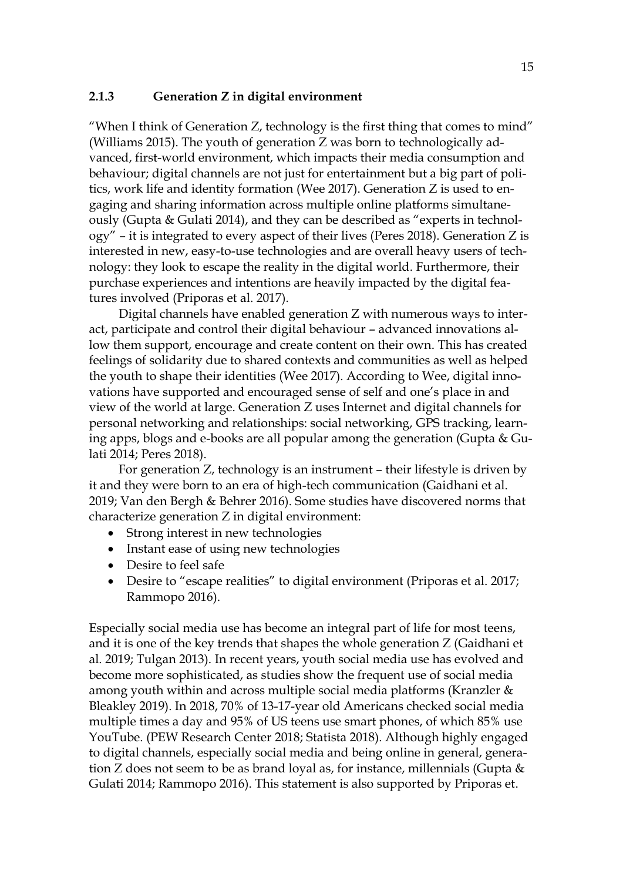#### <span id="page-12-0"></span>**2.1.3 Generation Z in digital environment**

"When I think of Generation Z, technology is the first thing that comes to mind" (Williams 2015). The youth of generation Z was born to technologically advanced, first-world environment, which impacts their media consumption and behaviour; digital channels are not just for entertainment but a big part of politics, work life and identity formation (Wee 2017). Generation Z is used to engaging and sharing information across multiple online platforms simultaneously (Gupta & Gulati 2014), and they can be described as "experts in technology" – it is integrated to every aspect of their lives (Peres 2018). Generation Z is interested in new, easy-to-use technologies and are overall heavy users of technology: they look to escape the reality in the digital world. Furthermore, their purchase experiences and intentions are heavily impacted by the digital features involved (Priporas et al. 2017).

Digital channels have enabled generation Z with numerous ways to interact, participate and control their digital behaviour – advanced innovations allow them support, encourage and create content on their own. This has created feelings of solidarity due to shared contexts and communities as well as helped the youth to shape their identities (Wee 2017). According to Wee, digital innovations have supported and encouraged sense of self and one's place in and view of the world at large. Generation Z uses Internet and digital channels for personal networking and relationships: social networking, GPS tracking, learning apps, blogs and e-books are all popular among the generation (Gupta & Gulati 2014; Peres 2018).

For generation Z, technology is an instrument – their lifestyle is driven by it and they were born to an era of high-tech communication (Gaidhani et al. 2019; Van den Bergh & Behrer 2016). Some studies have discovered norms that characterize generation Z in digital environment:

- Strong interest in new technologies
- Instant ease of using new technologies
- Desire to feel safe
- Desire to "escape realities" to digital environment (Priporas et al. 2017; Rammopo 2016).

Especially social media use has become an integral part of life for most teens, and it is one of the key trends that shapes the whole generation Z (Gaidhani et al. 2019; Tulgan 2013). In recent years, youth social media use has evolved and become more sophisticated, as studies show the frequent use of social media among youth within and across multiple social media platforms (Kranzler & Bleakley 2019). In 2018, 70% of 13-17-year old Americans checked social media multiple times a day and 95% of US teens use smart phones, of which 85% use YouTube. (PEW Research Center 2018; Statista 2018). Although highly engaged to digital channels, especially social media and being online in general, generation Z does not seem to be as brand loyal as, for instance, millennials (Gupta  $\&$ Gulati 2014; Rammopo 2016). This statement is also supported by Priporas et.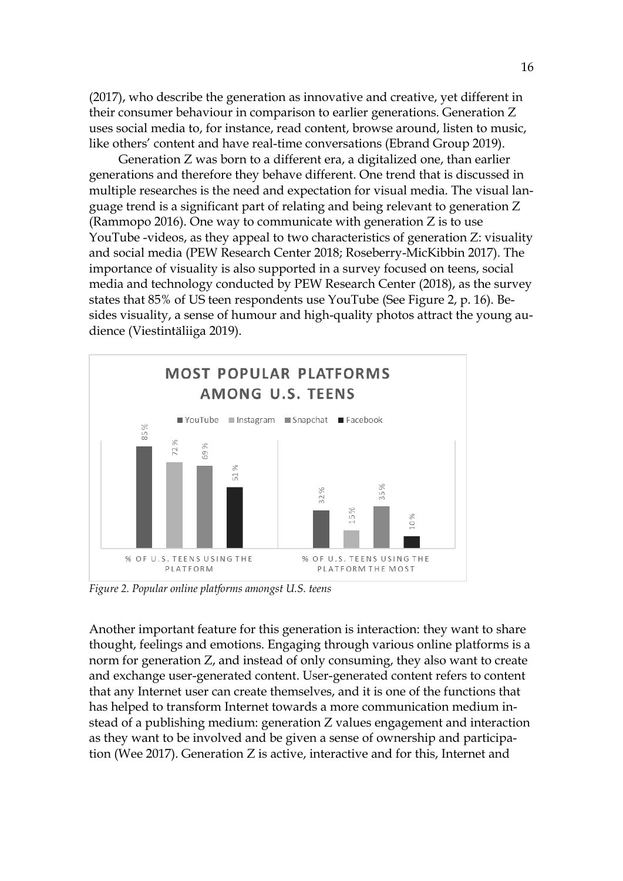(2017), who describe the generation as innovative and creative, yet different in their consumer behaviour in comparison to earlier generations. Generation Z uses social media to, for instance, read content, browse around, listen to music, like others' content and have real-time conversations (Ebrand Group 2019).

Generation Z was born to a different era, a digitalized one, than earlier generations and therefore they behave different. One trend that is discussed in multiple researches is the need and expectation for visual media. The visual language trend is a significant part of relating and being relevant to generation Z (Rammopo 2016). One way to communicate with generation Z is to use YouTube -videos, as they appeal to two characteristics of generation Z: visuality and social media (PEW Research Center 2018; Roseberry-MicKibbin 2017). The importance of visuality is also supported in a survey focused on teens, social media and technology conducted by PEW Research Center (2018), as the survey states that 85% of US teen respondents use YouTube (See Figure 2, p. 16). Besides visuality, a sense of humour and high-quality photos attract the young audience (Viestintäliiga 2019).



*Figure 2. Popular online platforms amongst U.S. teens*

Another important feature for this generation is interaction: they want to share thought, feelings and emotions. Engaging through various online platforms is a norm for generation Z, and instead of only consuming, they also want to create and exchange user-generated content. User-generated content refers to content that any Internet user can create themselves, and it is one of the functions that has helped to transform Internet towards a more communication medium instead of a publishing medium: generation Z values engagement and interaction as they want to be involved and be given a sense of ownership and participation (Wee 2017). Generation Z is active, interactive and for this, Internet and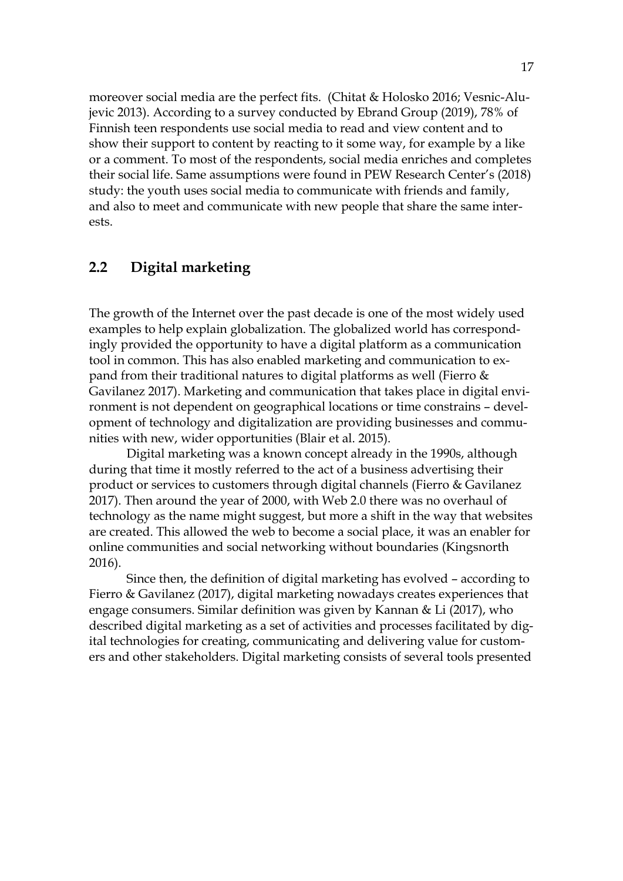moreover social media are the perfect fits. (Chitat & Holosko 2016; Vesnic-Alujevic 2013). According to a survey conducted by Ebrand Group (2019), 78% of Finnish teen respondents use social media to read and view content and to show their support to content by reacting to it some way, for example by a like or a comment. To most of the respondents, social media enriches and completes their social life. Same assumptions were found in PEW Research Center's (2018) study: the youth uses social media to communicate with friends and family, and also to meet and communicate with new people that share the same interests.

## <span id="page-14-0"></span>**2.2 Digital marketing**

The growth of the Internet over the past decade is one of the most widely used examples to help explain globalization. The globalized world has correspondingly provided the opportunity to have a digital platform as a communication tool in common. This has also enabled marketing and communication to expand from their traditional natures to digital platforms as well (Fierro & Gavilanez 2017). Marketing and communication that takes place in digital environment is not dependent on geographical locations or time constrains – development of technology and digitalization are providing businesses and communities with new, wider opportunities (Blair et al. 2015).

Digital marketing was a known concept already in the 1990s, although during that time it mostly referred to the act of a business advertising their product or services to customers through digital channels (Fierro & Gavilanez 2017). Then around the year of 2000, with Web 2.0 there was no overhaul of technology as the name might suggest, but more a shift in the way that websites are created. This allowed the web to become a social place, it was an enabler for online communities and social networking without boundaries (Kingsnorth 2016).

Since then, the definition of digital marketing has evolved – according to Fierro & Gavilanez (2017), digital marketing nowadays creates experiences that engage consumers. Similar definition was given by Kannan & Li (2017), who described digital marketing as a set of activities and processes facilitated by digital technologies for creating, communicating and delivering value for customers and other stakeholders. Digital marketing consists of several tools presented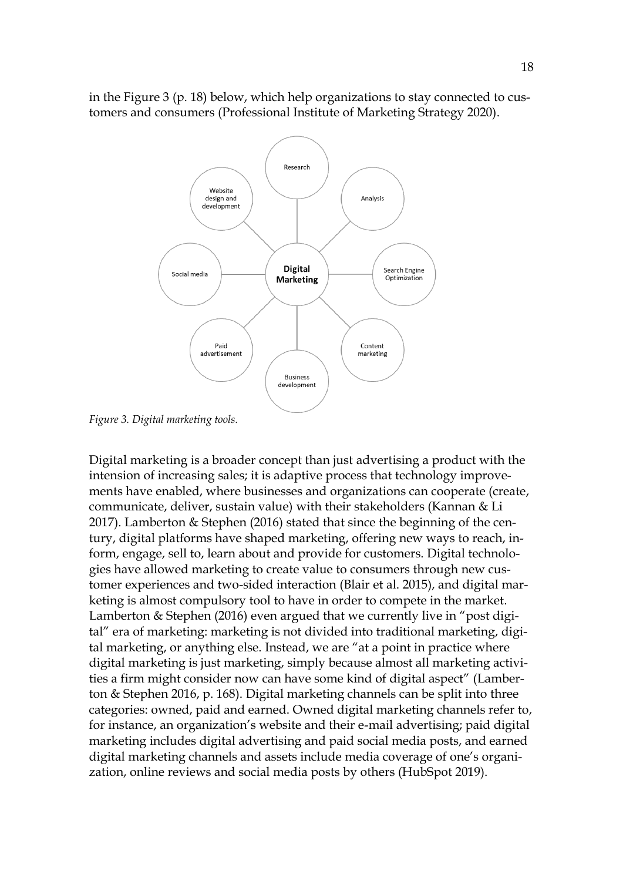

in the Figure 3 (p. 18) below, which help organizations to stay connected to customers and consumers (Professional Institute of Marketing Strategy 2020).

*Figure 3. Digital marketing tools.*

Digital marketing is a broader concept than just advertising a product with the intension of increasing sales; it is adaptive process that technology improvements have enabled, where businesses and organizations can cooperate (create, communicate, deliver, sustain value) with their stakeholders (Kannan & Li 2017). Lamberton & Stephen (2016) stated that since the beginning of the century, digital platforms have shaped marketing, offering new ways to reach, inform, engage, sell to, learn about and provide for customers. Digital technologies have allowed marketing to create value to consumers through new customer experiences and two-sided interaction (Blair et al. 2015), and digital marketing is almost compulsory tool to have in order to compete in the market. Lamberton & Stephen (2016) even argued that we currently live in "post digital" era of marketing: marketing is not divided into traditional marketing, digital marketing, or anything else. Instead, we are "at a point in practice where digital marketing is just marketing, simply because almost all marketing activities a firm might consider now can have some kind of digital aspect" (Lamberton & Stephen 2016, p. 168). Digital marketing channels can be split into three categories: owned, paid and earned. Owned digital marketing channels refer to, for instance, an organization's website and their e-mail advertising; paid digital marketing includes digital advertising and paid social media posts, and earned digital marketing channels and assets include media coverage of one's organization, online reviews and social media posts by others (HubSpot 2019).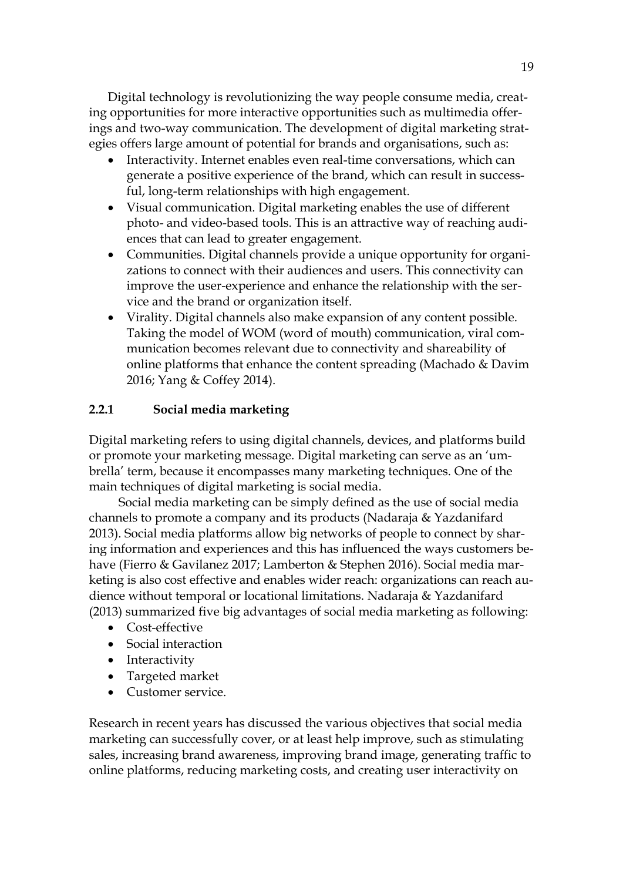Digital technology is revolutionizing the way people consume media, creating opportunities for more interactive opportunities such as multimedia offerings and two-way communication. The development of digital marketing strategies offers large amount of potential for brands and organisations, such as:

- Interactivity. Internet enables even real-time conversations, which can generate a positive experience of the brand, which can result in successful, long-term relationships with high engagement.
- Visual communication. Digital marketing enables the use of different photo- and video-based tools. This is an attractive way of reaching audiences that can lead to greater engagement.
- Communities. Digital channels provide a unique opportunity for organizations to connect with their audiences and users. This connectivity can improve the user-experience and enhance the relationship with the service and the brand or organization itself.
- Virality. Digital channels also make expansion of any content possible. Taking the model of WOM (word of mouth) communication, viral communication becomes relevant due to connectivity and shareability of online platforms that enhance the content spreading (Machado & Davim 2016; Yang & Coffey 2014).

## <span id="page-16-0"></span>**2.2.1 Social media marketing**

Digital marketing refers to using digital channels, devices, and platforms build or promote your marketing message. Digital marketing can serve as an 'umbrella' term, because it encompasses many marketing techniques. One of the main techniques of digital marketing is social media.

Social media marketing can be simply defined as the use of social media channels to promote a company and its products (Nadaraja & Yazdanifard 2013). Social media platforms allow big networks of people to connect by sharing information and experiences and this has influenced the ways customers behave (Fierro & Gavilanez 2017; Lamberton & Stephen 2016). Social media marketing is also cost effective and enables wider reach: organizations can reach audience without temporal or locational limitations. Nadaraja & Yazdanifard (2013) summarized five big advantages of social media marketing as following:

- Cost-effective
- Social interaction
- Interactivity
- Targeted market
- Customer service.

Research in recent years has discussed the various objectives that social media marketing can successfully cover, or at least help improve, such as stimulating sales, increasing brand awareness, improving brand image, generating traffic to online platforms, reducing marketing costs, and creating user interactivity on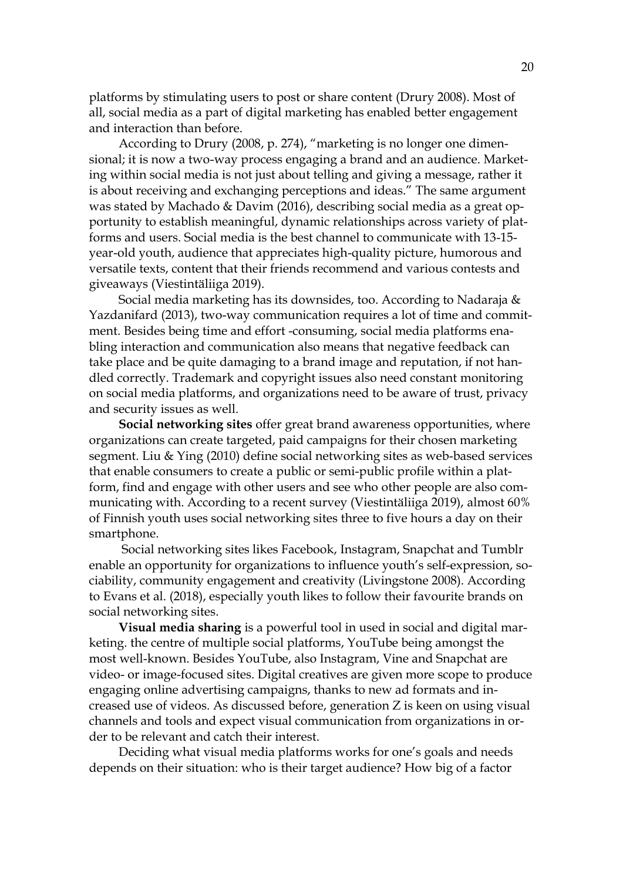platforms by stimulating users to post or share content (Drury 2008). Most of all, social media as a part of digital marketing has enabled better engagement and interaction than before.

According to Drury (2008, p. 274), "marketing is no longer one dimensional; it is now a two-way process engaging a brand and an audience. Marketing within social media is not just about telling and giving a message, rather it is about receiving and exchanging perceptions and ideas." The same argument was stated by Machado & Davim (2016), describing social media as a great opportunity to establish meaningful, dynamic relationships across variety of platforms and users. Social media is the best channel to communicate with 13-15 year-old youth, audience that appreciates high-quality picture, humorous and versatile texts, content that their friends recommend and various contests and giveaways (Viestintäliiga 2019).

Social media marketing has its downsides, too. According to Nadaraja & Yazdanifard (2013), two-way communication requires a lot of time and commitment. Besides being time and effort -consuming, social media platforms enabling interaction and communication also means that negative feedback can take place and be quite damaging to a brand image and reputation, if not handled correctly. Trademark and copyright issues also need constant monitoring on social media platforms, and organizations need to be aware of trust, privacy and security issues as well.

**Social networking sites** offer great brand awareness opportunities, where organizations can create targeted, paid campaigns for their chosen marketing segment. Liu & Ying (2010) define social networking sites as web-based services that enable consumers to create a public or semi-public profile within a platform, find and engage with other users and see who other people are also communicating with. According to a recent survey (Viestintäliiga 2019), almost 60% of Finnish youth uses social networking sites three to five hours a day on their smartphone.

Social networking sites likes Facebook, Instagram, Snapchat and Tumblr enable an opportunity for organizations to influence youth's self-expression, sociability, community engagement and creativity (Livingstone 2008). According to Evans et al. (2018), especially youth likes to follow their favourite brands on social networking sites.

**Visual media sharing** is a powerful tool in used in social and digital marketing. the centre of multiple social platforms, YouTube being amongst the most well-known. Besides YouTube, also Instagram, Vine and Snapchat are video- or image-focused sites. Digital creatives are given more scope to produce engaging online advertising campaigns, thanks to new ad formats and increased use of videos. As discussed before, generation Z is keen on using visual channels and tools and expect visual communication from organizations in order to be relevant and catch their interest.

Deciding what visual media platforms works for one's goals and needs depends on their situation: who is their target audience? How big of a factor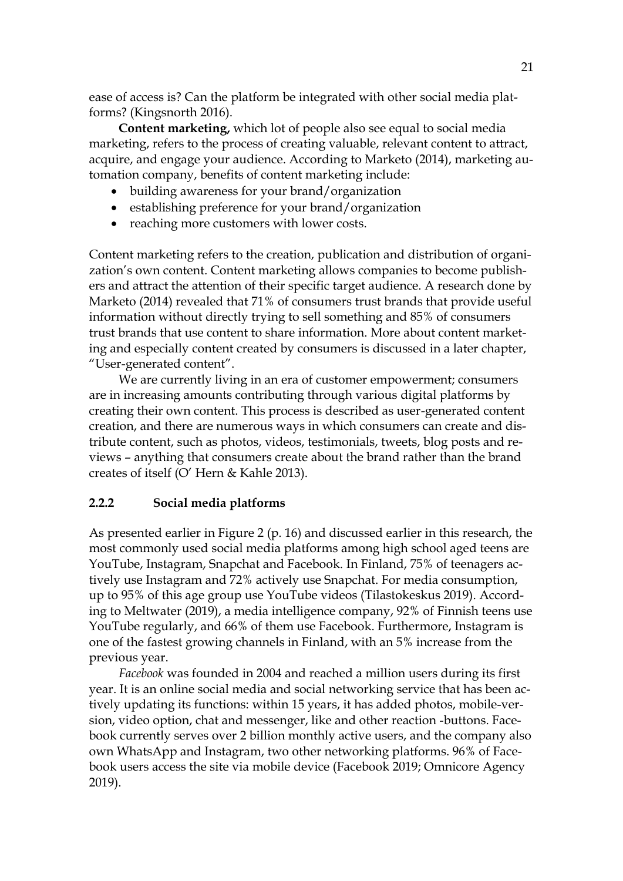ease of access is? Can the platform be integrated with other social media platforms? (Kingsnorth 2016).

**Content marketing,** which lot of people also see equal to social media marketing, refers to the process of creating valuable, relevant content to attract, acquire, and engage your audience. According to Marketo (2014), marketing automation company, benefits of content marketing include:

- building awareness for your brand/organization
- establishing preference for your brand/organization
- reaching more customers with lower costs.

Content marketing refers to the creation, publication and distribution of organization's own content. Content marketing allows companies to become publishers and attract the attention of their specific target audience. A research done by Marketo (2014) revealed that 71% of consumers trust brands that provide useful information without directly trying to sell something and 85% of consumers trust brands that use content to share information. More about content marketing and especially content created by consumers is discussed in a later chapter, "User-generated content".

We are currently living in an era of customer empowerment; consumers are in increasing amounts contributing through various digital platforms by creating their own content. This process is described as user-generated content creation, and there are numerous ways in which consumers can create and distribute content, such as photos, videos, testimonials, tweets, blog posts and reviews – anything that consumers create about the brand rather than the brand creates of itself (O' Hern & Kahle 2013).

## <span id="page-18-0"></span>**2.2.2 Social media platforms**

As presented earlier in Figure 2 (p. 16) and discussed earlier in this research, the most commonly used social media platforms among high school aged teens are YouTube, Instagram, Snapchat and Facebook. In Finland, 75% of teenagers actively use Instagram and 72% actively use Snapchat. For media consumption, up to 95% of this age group use YouTube videos (Tilastokeskus 2019). According to Meltwater (2019), a media intelligence company, 92% of Finnish teens use YouTube regularly, and 66% of them use Facebook. Furthermore, Instagram is one of the fastest growing channels in Finland, with an 5% increase from the previous year.

*Facebook* was founded in 2004 and reached a million users during its first year. It is an online social media and social networking service that has been actively updating its functions: within 15 years, it has added photos, mobile-version, video option, chat and messenger, like and other reaction -buttons. Facebook currently serves over 2 billion monthly active users, and the company also own WhatsApp and Instagram, two other networking platforms. 96% of Facebook users access the site via mobile device (Facebook 2019; Omnicore Agency 2019).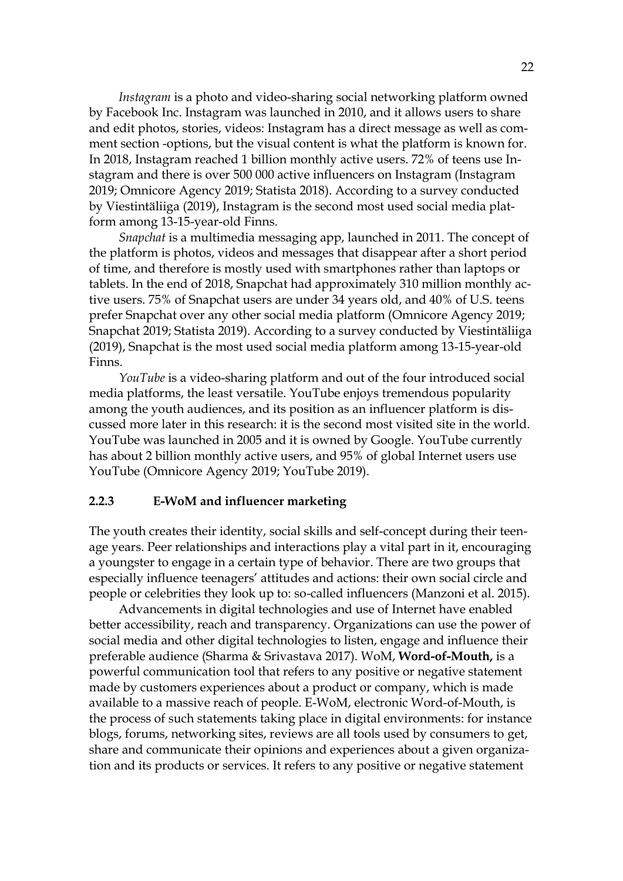*Instagram* is a photo and video-sharing social networking platform owned by Facebook Inc. Instagram was launched in 2010, and it allows users to share and edit photos, stories, videos: Instagram has a direct message as well as comment section -options, but the visual content is what the platform is known for. In 2018, Instagram reached 1 billion monthly active users. 72% of teens use Instagram and there is over 500 000 active influencers on Instagram (Instagram 2019; Omnicore Agency 2019; Statista 2018). According to a survey conducted by Viestintäliiga (2019), Instagram is the second most used social media platform among 13-15-year-old Finns.

*Snapchat* is a multimedia messaging app, launched in 2011. The concept of the platform is photos, videos and messages that disappear after a short period of time, and therefore is mostly used with smartphones rather than laptops or tablets. In the end of 2018, Snapchat had approximately 310 million monthly active users. 75% of Snapchat users are under 34 years old, and 40% of U.S. teens prefer Snapchat over any other social media platform (Omnicore Agency 2019; Snapchat 2019; Statista 2019). According to a survey conducted by Viestintäliiga (2019), Snapchat is the most used social media platform among 13-15-year-old Finns.

*YouTube* is a video-sharing platform and out of the four introduced social media platforms, the least versatile. YouTube enjoys tremendous popularity among the youth audiences, and its position as an influencer platform is discussed more later in this research: it is the second most visited site in the world. YouTube was launched in 2005 and it is owned by Google. YouTube currently has about 2 billion monthly active users, and 95% of global Internet users use YouTube (Omnicore Agency 2019; YouTube 2019).

#### <span id="page-19-0"></span>**2.2.3 E-WoM and influencer marketing**

The youth creates their identity, social skills and self-concept during their teenage years. Peer relationships and interactions play a vital part in it, encouraging a youngster to engage in a certain type of behavior. There are two groups that especially influence teenagers' attitudes and actions: their own social circle and people or celebrities they look up to: so-called influencers (Manzoni et al. 2015).

Advancements in digital technologies and use of Internet have enabled better accessibility, reach and transparency. Organizations can use the power of social media and other digital technologies to listen, engage and influence their preferable audience (Sharma & Srivastava 2017). WoM, **Word-of-Mouth,** is a powerful communication tool that refers to any positive or negative statement made by customers experiences about a product or company, which is made available to a massive reach of people. E-WoM, electronic Word-of-Mouth, is the process of such statements taking place in digital environments: for instance blogs, forums, networking sites, reviews are all tools used by consumers to get, share and communicate their opinions and experiences about a given organization and its products or services. It refers to any positive or negative statement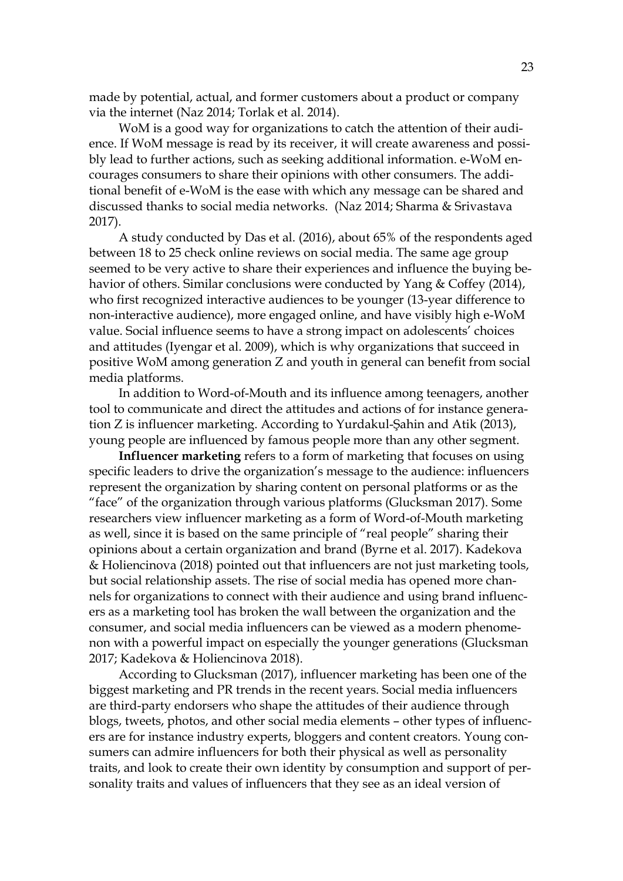made by potential, actual, and former customers about a product or company via the internet (Naz 2014; Torlak et al. 2014).

WoM is a good way for organizations to catch the attention of their audience. If WoM message is read by its receiver, it will create awareness and possibly lead to further actions, such as seeking additional information. e-WoM encourages consumers to share their opinions with other consumers. The additional benefit of e-WoM is the ease with which any message can be shared and discussed thanks to social media networks. (Naz 2014; Sharma & Srivastava 2017).

A study conducted by Das et al. (2016), about 65% of the respondents aged between 18 to 25 check online reviews on social media. The same age group seemed to be very active to share their experiences and influence the buying behavior of others. Similar conclusions were conducted by Yang & Coffey (2014), who first recognized interactive audiences to be younger (13-year difference to non-interactive audience), more engaged online, and have visibly high e-WoM value. Social influence seems to have a strong impact on adolescents' choices and attitudes (Iyengar et al. 2009), which is why organizations that succeed in positive WoM among generation Z and youth in general can benefit from social media platforms.

In addition to Word-of-Mouth and its influence among teenagers, another tool to communicate and direct the attitudes and actions of for instance generation Z is influencer marketing. According to Yurdakul-Şahin and Atik (2013), young people are influenced by famous people more than any other segment.

**Influencer marketing** refers to a form of marketing that focuses on using specific leaders to drive the organization's message to the audience: influencers represent the organization by sharing content on personal platforms or as the "face" of the organization through various platforms (Glucksman 2017). Some researchers view influencer marketing as a form of Word-of-Mouth marketing as well, since it is based on the same principle of "real people" sharing their opinions about a certain organization and brand (Byrne et al. 2017). Kadekova & Holiencinova (2018) pointed out that influencers are not just marketing tools, but social relationship assets. The rise of social media has opened more channels for organizations to connect with their audience and using brand influencers as a marketing tool has broken the wall between the organization and the consumer, and social media influencers can be viewed as a modern phenomenon with a powerful impact on especially the younger generations (Glucksman 2017; Kadekova & Holiencinova 2018).

According to Glucksman (2017), influencer marketing has been one of the biggest marketing and PR trends in the recent years. Social media influencers are third-party endorsers who shape the attitudes of their audience through blogs, tweets, photos, and other social media elements – other types of influencers are for instance industry experts, bloggers and content creators. Young consumers can admire influencers for both their physical as well as personality traits, and look to create their own identity by consumption and support of personality traits and values of influencers that they see as an ideal version of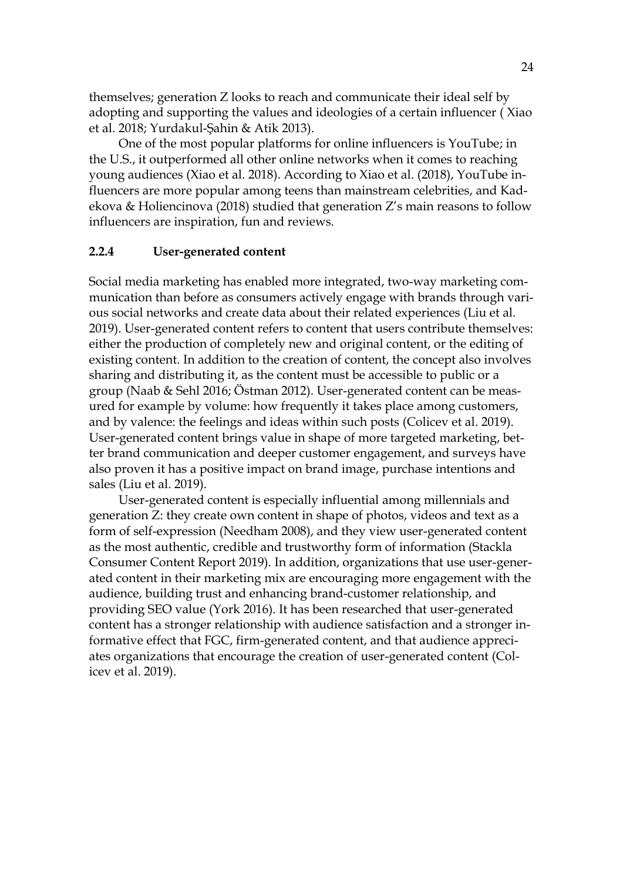themselves; generation Z looks to reach and communicate their ideal self by adopting and supporting the values and ideologies of a certain influencer ( Xiao et al. 2018; Yurdakul-Şahin & Atik 2013).

One of the most popular platforms for online influencers is YouTube; in the U.S., it outperformed all other online networks when it comes to reaching young audiences (Xiao et al. 2018). According to Xiao et al. (2018), YouTube influencers are more popular among teens than mainstream celebrities, and Kadekova & Holiencinova (2018) studied that generation Z's main reasons to follow influencers are inspiration, fun and reviews.

#### <span id="page-21-0"></span>**2.2.4 User-generated content**

Social media marketing has enabled more integrated, two-way marketing communication than before as consumers actively engage with brands through various social networks and create data about their related experiences (Liu et al. 2019). User-generated content refers to content that users contribute themselves: either the production of completely new and original content, or the editing of existing content. In addition to the creation of content, the concept also involves sharing and distributing it, as the content must be accessible to public or a group (Naab & Sehl 2016; Östman 2012). User-generated content can be measured for example by volume: how frequently it takes place among customers, and by valence: the feelings and ideas within such posts (Colicev et al. 2019). User-generated content brings value in shape of more targeted marketing, better brand communication and deeper customer engagement, and surveys have also proven it has a positive impact on brand image, purchase intentions and sales (Liu et al. 2019).

User-generated content is especially influential among millennials and generation Z: they create own content in shape of photos, videos and text as a form of self-expression (Needham 2008), and they view user-generated content as the most authentic, credible and trustworthy form of information (Stackla Consumer Content Report 2019). In addition, organizations that use user-generated content in their marketing mix are encouraging more engagement with the audience, building trust and enhancing brand-customer relationship, and providing SEO value (York 2016). It has been researched that user-generated content has a stronger relationship with audience satisfaction and a stronger informative effect that FGC, firm-generated content, and that audience appreciates organizations that encourage the creation of user-generated content (Colicev et al. 2019).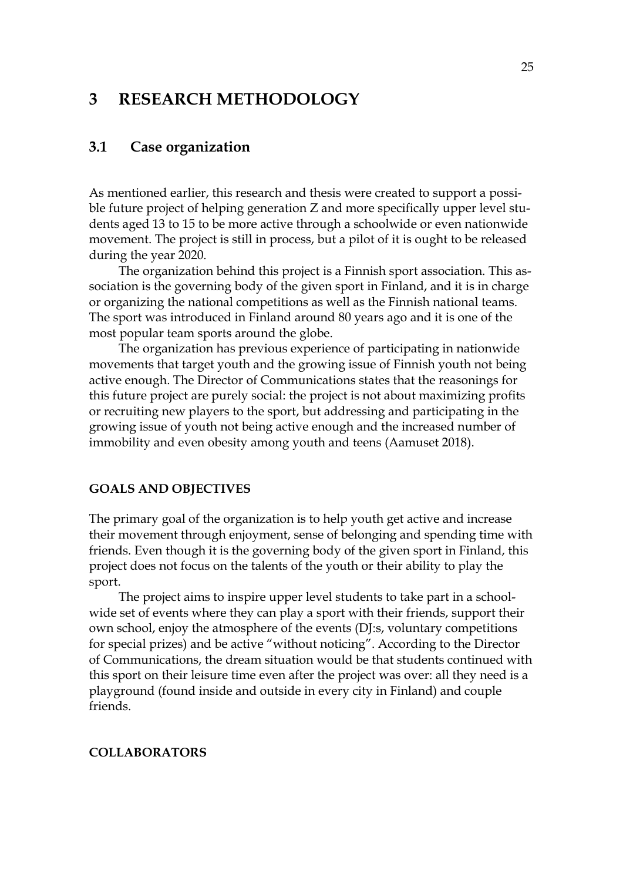## <span id="page-22-0"></span>**3 RESEARCH METHODOLOGY**

## <span id="page-22-1"></span>**3.1 Case organization**

As mentioned earlier, this research and thesis were created to support a possible future project of helping generation Z and more specifically upper level students aged 13 to 15 to be more active through a schoolwide or even nationwide movement. The project is still in process, but a pilot of it is ought to be released during the year 2020.

The organization behind this project is a Finnish sport association. This association is the governing body of the given sport in Finland, and it is in charge or organizing the national competitions as well as the Finnish national teams. The sport was introduced in Finland around 80 years ago and it is one of the most popular team sports around the globe.

The organization has previous experience of participating in nationwide movements that target youth and the growing issue of Finnish youth not being active enough. The Director of Communications states that the reasonings for this future project are purely social: the project is not about maximizing profits or recruiting new players to the sport, but addressing and participating in the growing issue of youth not being active enough and the increased number of immobility and even obesity among youth and teens (Aamuset 2018).

#### **GOALS AND OBJECTIVES**

The primary goal of the organization is to help youth get active and increase their movement through enjoyment, sense of belonging and spending time with friends. Even though it is the governing body of the given sport in Finland, this project does not focus on the talents of the youth or their ability to play the sport.

The project aims to inspire upper level students to take part in a schoolwide set of events where they can play a sport with their friends, support their own school, enjoy the atmosphere of the events (DJ:s, voluntary competitions for special prizes) and be active "without noticing". According to the Director of Communications, the dream situation would be that students continued with this sport on their leisure time even after the project was over: all they need is a playground (found inside and outside in every city in Finland) and couple friends.

#### **COLLABORATORS**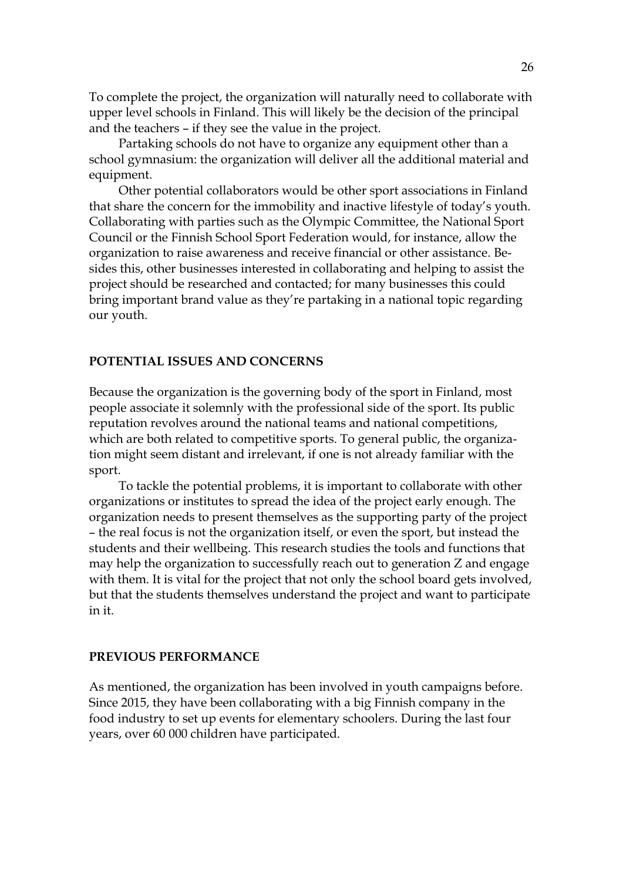To complete the project, the organization will naturally need to collaborate with upper level schools in Finland. This will likely be the decision of the principal and the teachers – if they see the value in the project.

Partaking schools do not have to organize any equipment other than a school gymnasium: the organization will deliver all the additional material and equipment.

Other potential collaborators would be other sport associations in Finland that share the concern for the immobility and inactive lifestyle of today's youth. Collaborating with parties such as the Olympic Committee, the National Sport Council or the Finnish School Sport Federation would, for instance, allow the organization to raise awareness and receive financial or other assistance. Besides this, other businesses interested in collaborating and helping to assist the project should be researched and contacted; for many businesses this could bring important brand value as they're partaking in a national topic regarding our youth.

#### **POTENTIAL ISSUES AND CONCERNS**

Because the organization is the governing body of the sport in Finland, most people associate it solemnly with the professional side of the sport. Its public reputation revolves around the national teams and national competitions, which are both related to competitive sports. To general public, the organization might seem distant and irrelevant, if one is not already familiar with the sport.

To tackle the potential problems, it is important to collaborate with other organizations or institutes to spread the idea of the project early enough. The organization needs to present themselves as the supporting party of the project – the real focus is not the organization itself, or even the sport, but instead the students and their wellbeing. This research studies the tools and functions that may help the organization to successfully reach out to generation Z and engage with them. It is vital for the project that not only the school board gets involved, but that the students themselves understand the project and want to participate in it.

#### **PREVIOUS PERFORMANCE**

As mentioned, the organization has been involved in youth campaigns before. Since 2015, they have been collaborating with a big Finnish company in the food industry to set up events for elementary schoolers. During the last four years, over 60 000 children have participated.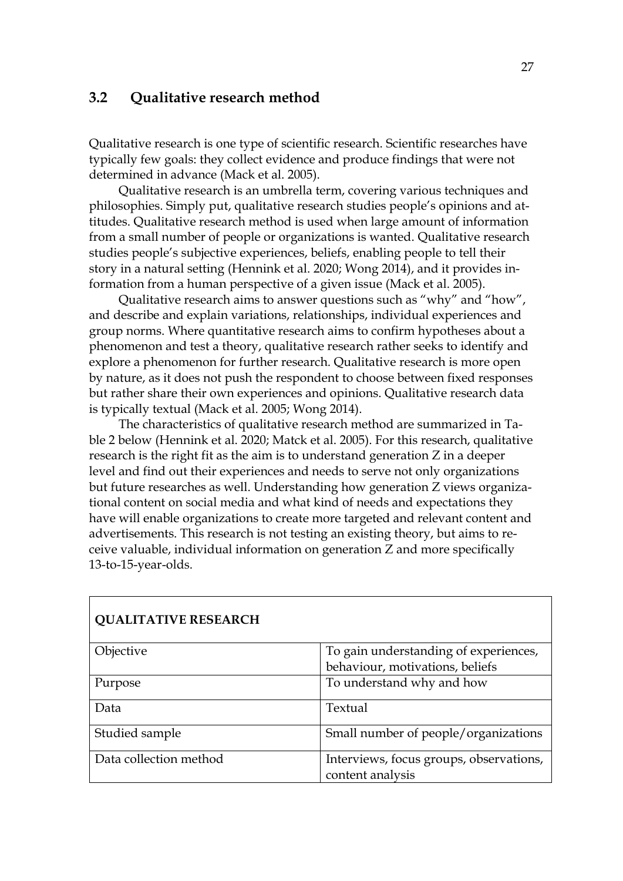## <span id="page-24-0"></span>**3.2 Qualitative research method**

Qualitative research is one type of scientific research. Scientific researches have typically few goals: they collect evidence and produce findings that were not determined in advance (Mack et al. 2005).

Qualitative research is an umbrella term, covering various techniques and philosophies. Simply put, qualitative research studies people's opinions and attitudes. Qualitative research method is used when large amount of information from a small number of people or organizations is wanted. Qualitative research studies people's subjective experiences, beliefs, enabling people to tell their story in a natural setting (Hennink et al. 2020; Wong 2014), and it provides information from a human perspective of a given issue (Mack et al. 2005).

Qualitative research aims to answer questions such as "why" and "how", and describe and explain variations, relationships, individual experiences and group norms. Where quantitative research aims to confirm hypotheses about a phenomenon and test a theory, qualitative research rather seeks to identify and explore a phenomenon for further research. Qualitative research is more open by nature, as it does not push the respondent to choose between fixed responses but rather share their own experiences and opinions. Qualitative research data is typically textual (Mack et al. 2005; Wong 2014).

The characteristics of qualitative research method are summarized in Table 2 below (Hennink et al. 2020; Matck et al. 2005). For this research, qualitative research is the right fit as the aim is to understand generation Z in a deeper level and find out their experiences and needs to serve not only organizations but future researches as well. Understanding how generation Z views organizational content on social media and what kind of needs and expectations they have will enable organizations to create more targeted and relevant content and advertisements. This research is not testing an existing theory, but aims to receive valuable, individual information on generation Z and more specifically 13-to-15-year-olds.

| <b>QUALITATIVE RESEARCH</b> |                                         |
|-----------------------------|-----------------------------------------|
| Objective                   | To gain understanding of experiences,   |
|                             | behaviour, motivations, beliefs         |
| Purpose                     | To understand why and how               |
| Data                        | Textual                                 |
| Studied sample              | Small number of people/organizations    |
| Data collection method      | Interviews, focus groups, observations, |
|                             | content analysis                        |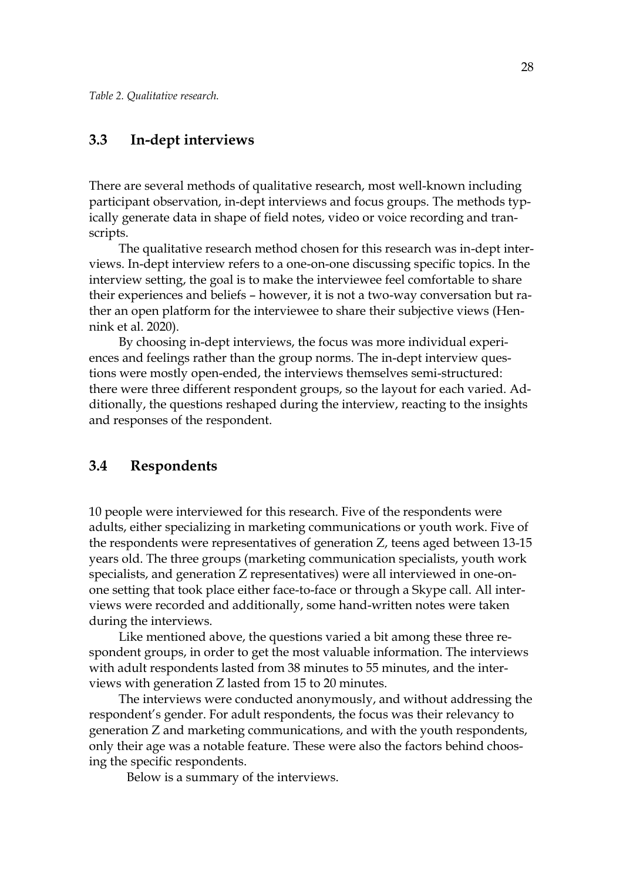### <span id="page-25-0"></span>**3.3 In-dept interviews**

There are several methods of qualitative research, most well-known including participant observation, in-dept interviews and focus groups. The methods typically generate data in shape of field notes, video or voice recording and transcripts.

The qualitative research method chosen for this research was in-dept interviews. In-dept interview refers to a one-on-one discussing specific topics. In the interview setting, the goal is to make the interviewee feel comfortable to share their experiences and beliefs – however, it is not a two-way conversation but rather an open platform for the interviewee to share their subjective views (Hennink et al. 2020).

By choosing in-dept interviews, the focus was more individual experiences and feelings rather than the group norms. The in-dept interview questions were mostly open-ended, the interviews themselves semi-structured: there were three different respondent groups, so the layout for each varied. Additionally, the questions reshaped during the interview, reacting to the insights and responses of the respondent.

## <span id="page-25-1"></span>**3.4 Respondents**

10 people were interviewed for this research. Five of the respondents were adults, either specializing in marketing communications or youth work. Five of the respondents were representatives of generation Z, teens aged between 13-15 years old. The three groups (marketing communication specialists, youth work specialists, and generation Z representatives) were all interviewed in one-onone setting that took place either face-to-face or through a Skype call. All interviews were recorded and additionally, some hand-written notes were taken during the interviews.

Like mentioned above, the questions varied a bit among these three respondent groups, in order to get the most valuable information. The interviews with adult respondents lasted from 38 minutes to 55 minutes, and the interviews with generation Z lasted from 15 to 20 minutes.

The interviews were conducted anonymously, and without addressing the respondent's gender. For adult respondents, the focus was their relevancy to generation Z and marketing communications, and with the youth respondents, only their age was a notable feature. These were also the factors behind choosing the specific respondents.

Below is a summary of the interviews.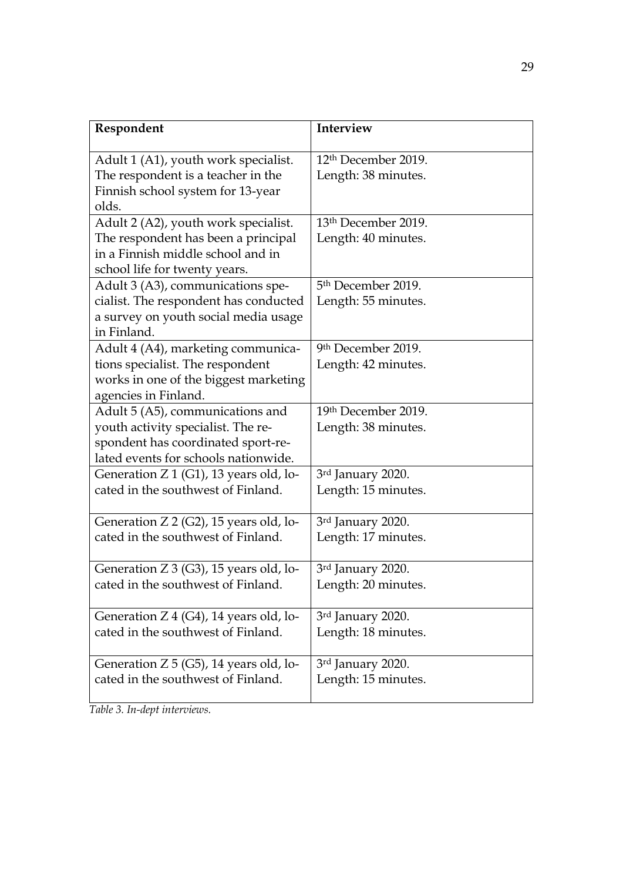| Respondent                                                                                                                                           | Interview                                              |
|------------------------------------------------------------------------------------------------------------------------------------------------------|--------------------------------------------------------|
| Adult 1 (A1), youth work specialist.<br>The respondent is a teacher in the<br>Finnish school system for 13-year<br>olds.                             | 12 <sup>th</sup> December 2019.<br>Length: 38 minutes. |
| Adult 2 (A2), youth work specialist.<br>The respondent has been a principal<br>in a Finnish middle school and in<br>school life for twenty years.    | 13th December 2019.<br>Length: 40 minutes.             |
| Adult 3 (A3), communications spe-<br>cialist. The respondent has conducted<br>a survey on youth social media usage<br>in Finland.                    | 5 <sup>th</sup> December 2019.<br>Length: 55 minutes.  |
| Adult 4 (A4), marketing communica-<br>tions specialist. The respondent<br>works in one of the biggest marketing<br>agencies in Finland.              | 9th December 2019.<br>Length: 42 minutes.              |
| Adult 5 (A5), communications and<br>youth activity specialist. The re-<br>spondent has coordinated sport-re-<br>lated events for schools nationwide. | 19th December 2019.<br>Length: 38 minutes.             |
| Generation Z 1 (G1), 13 years old, lo-<br>cated in the southwest of Finland.                                                                         | 3rd January 2020.<br>Length: 15 minutes.               |
| Generation Z 2 (G2), 15 years old, lo-<br>cated in the southwest of Finland.                                                                         | 3rd January 2020.<br>Length: 17 minutes.               |
| Generation Z 3 (G3), 15 years old, lo-<br>cated in the southwest of Finland                                                                          | 3rd January 2020.<br>Length: 20 minutes.               |
| Generation Z 4 (G4), 14 years old, lo-<br>cated in the southwest of Finland.                                                                         | 3rd January 2020.<br>Length: 18 minutes.               |
| Generation Z 5 (G5), 14 years old, lo-<br>cated in the southwest of Finland.                                                                         | 3rd January 2020.<br>Length: 15 minutes.               |

*Table 3. In-dept interviews.*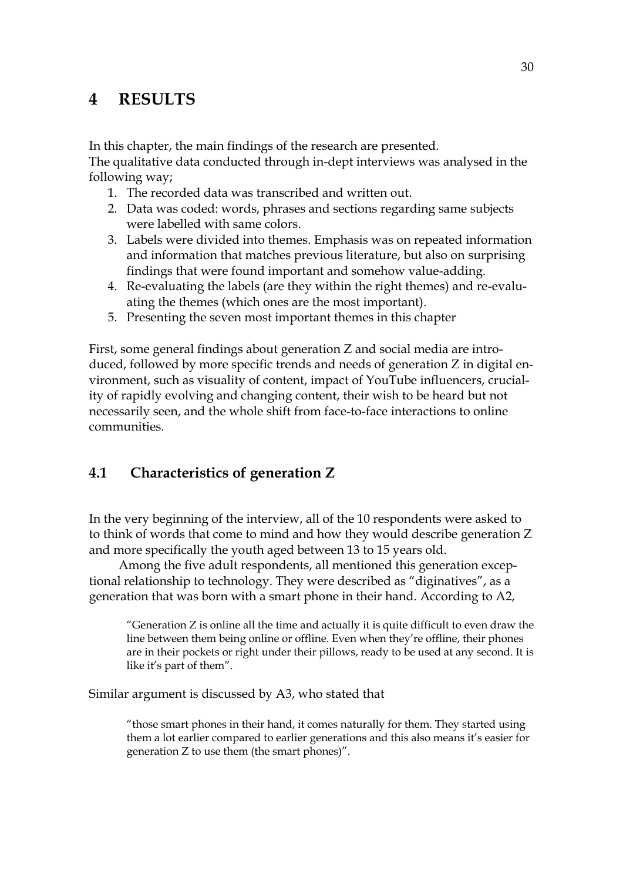# <span id="page-27-0"></span>**4 RESULTS**

In this chapter, the main findings of the research are presented.

The qualitative data conducted through in-dept interviews was analysed in the following way;

- 1. The recorded data was transcribed and written out.
- 2. Data was coded: words, phrases and sections regarding same subjects were labelled with same colors.
- 3. Labels were divided into themes. Emphasis was on repeated information and information that matches previous literature, but also on surprising findings that were found important and somehow value-adding.
- 4. Re-evaluating the labels (are they within the right themes) and re-evaluating the themes (which ones are the most important).
- 5. Presenting the seven most important themes in this chapter

First, some general findings about generation Z and social media are introduced, followed by more specific trends and needs of generation Z in digital environment, such as visuality of content, impact of YouTube influencers, cruciality of rapidly evolving and changing content, their wish to be heard but not necessarily seen, and the whole shift from face-to-face interactions to online communities.

## <span id="page-27-1"></span>**4.1 Characteristics of generation Z**

In the very beginning of the interview, all of the 10 respondents were asked to to think of words that come to mind and how they would describe generation Z and more specifically the youth aged between 13 to 15 years old.

Among the five adult respondents, all mentioned this generation exceptional relationship to technology. They were described as "diginatives", as a generation that was born with a smart phone in their hand. According to A2,

"Generation  $Z$  is online all the time and actually it is quite difficult to even draw the line between them being online or offline. Even when they're offline, their phones are in their pockets or right under their pillows, ready to be used at any second. It is like it's part of them".

Similar argument is discussed by A3, who stated that

"those smart phones in their hand, it comes naturally for them. They started using them a lot earlier compared to earlier generations and this also means it's easier for generation Z to use them (the smart phones)".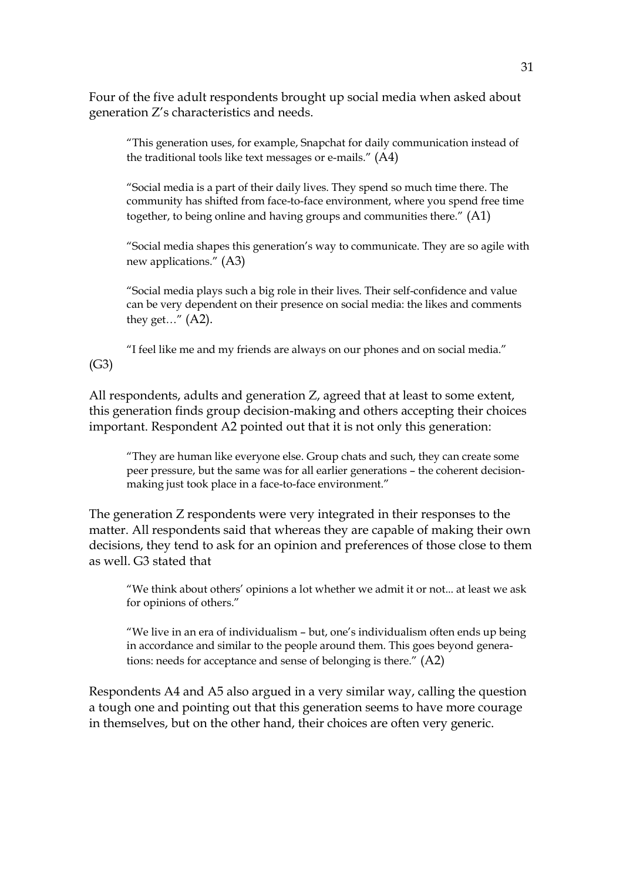Four of the five adult respondents brought up social media when asked about generation Z's characteristics and needs.

"This generation uses, for example, Snapchat for daily communication instead of the traditional tools like text messages or e-mails." (A4)

"Social media is a part of their daily lives. They spend so much time there. The community has shifted from face-to-face environment, where you spend free time together, to being online and having groups and communities there." (A1)

"Social media shapes this generation's way to communicate. They are so agile with new applications." (A3)

"Social media plays such a big role in their lives. Their self-confidence and value can be very dependent on their presence on social media: the likes and comments they get..."  $(A2)$ .

"I feel like me and my friends are always on our phones and on social media." (G3)

All respondents, adults and generation Z, agreed that at least to some extent, this generation finds group decision-making and others accepting their choices important. Respondent A2 pointed out that it is not only this generation:

"They are human like everyone else. Group chats and such, they can create some peer pressure, but the same was for all earlier generations – the coherent decisionmaking just took place in a face-to-face environment."

The generation Z respondents were very integrated in their responses to the matter. All respondents said that whereas they are capable of making their own decisions, they tend to ask for an opinion and preferences of those close to them as well. G3 stated that

"We think about others' opinions a lot whether we admit it or not... at least we ask for opinions of others."

"We live in an era of individualism – but, one's individualism often ends up being in accordance and similar to the people around them. This goes beyond generations: needs for acceptance and sense of belonging is there." (A2)

Respondents A4 and A5 also argued in a very similar way, calling the question a tough one and pointing out that this generation seems to have more courage in themselves, but on the other hand, their choices are often very generic.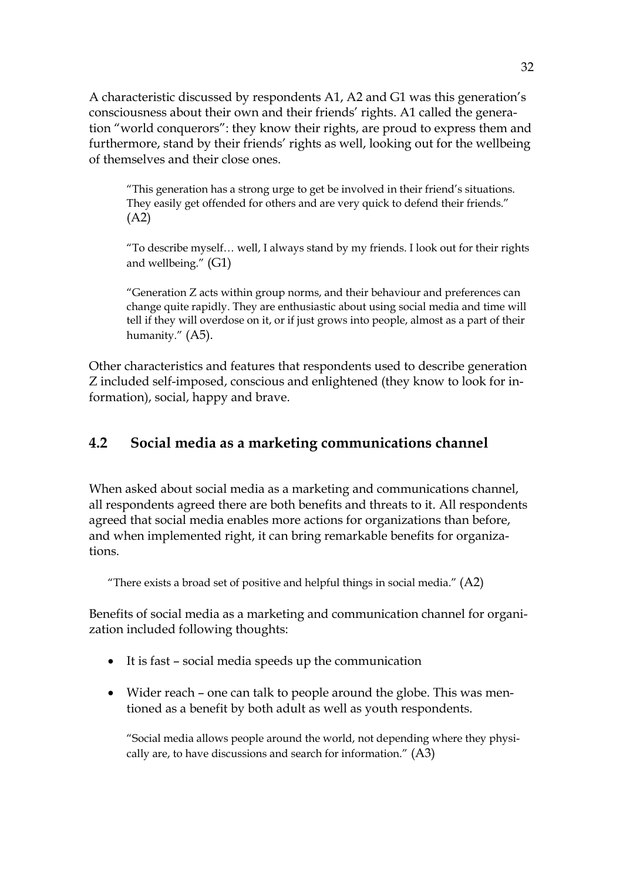A characteristic discussed by respondents A1, A2 and G1 was this generation's consciousness about their own and their friends' rights. A1 called the generation "world conquerors": they know their rights, are proud to express them and furthermore, stand by their friends' rights as well, looking out for the wellbeing of themselves and their close ones.

"This generation has a strong urge to get be involved in their friend's situations. They easily get offended for others and are very quick to defend their friends." (A2)

"To describe myself… well, I always stand by my friends. I look out for their rights and wellbeing." (G1)

"Generation Z acts within group norms, and their behaviour and preferences can change quite rapidly. They are enthusiastic about using social media and time will tell if they will overdose on it, or if just grows into people, almost as a part of their humanity." (A5).

Other characteristics and features that respondents used to describe generation Z included self-imposed, conscious and enlightened (they know to look for information), social, happy and brave.

## <span id="page-29-0"></span>**4.2 Social media as a marketing communications channel**

When asked about social media as a marketing and communications channel, all respondents agreed there are both benefits and threats to it. All respondents agreed that social media enables more actions for organizations than before, and when implemented right, it can bring remarkable benefits for organizations.

"There exists a broad set of positive and helpful things in social media."  $(A2)$ 

Benefits of social media as a marketing and communication channel for organization included following thoughts:

- It is fast social media speeds up the communication
- Wider reach one can talk to people around the globe. This was mentioned as a benefit by both adult as well as youth respondents.

"Social media allows people around the world, not depending where they physically are, to have discussions and search for information." (A3)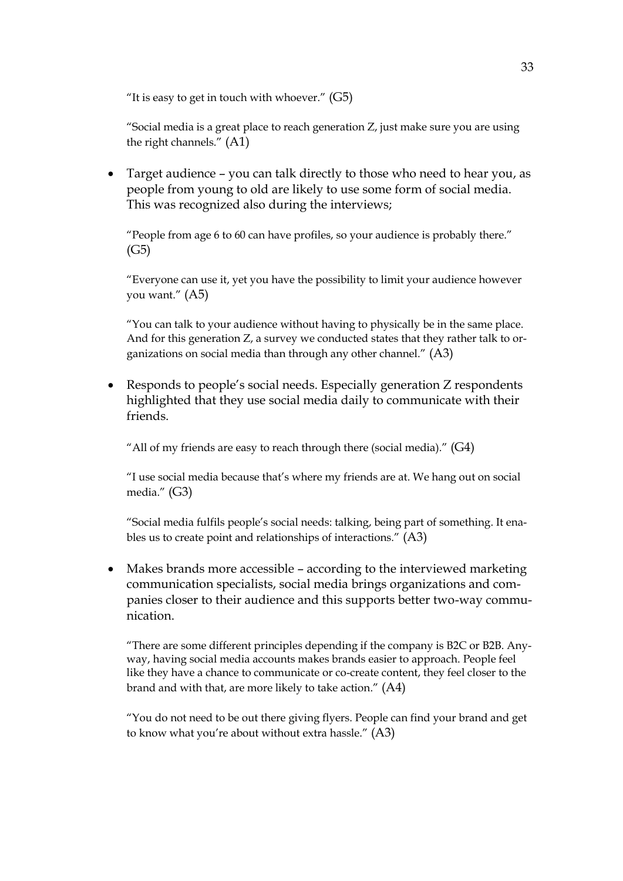"It is easy to get in touch with whoever."  $(G5)$ 

"Social media is a great place to reach generation Z, just make sure you are using the right channels." (A1)

• Target audience – you can talk directly to those who need to hear you, as people from young to old are likely to use some form of social media. This was recognized also during the interviews;

"People from age 6 to 60 can have profiles, so your audience is probably there."  $(G5)$ 

"Everyone can use it, yet you have the possibility to limit your audience however you want." (A5)

"You can talk to your audience without having to physically be in the same place. And for this generation Z, a survey we conducted states that they rather talk to organizations on social media than through any other channel." (A3)

• Responds to people's social needs. Especially generation Z respondents highlighted that they use social media daily to communicate with their friends.

"All of my friends are easy to reach through there (social media)."  $(G4)$ 

"I use social media because that's where my friends are at. We hang out on social media." (G3)

"Social media fulfils people's social needs: talking, being part of something. It enables us to create point and relationships of interactions." (A3)

• Makes brands more accessible – according to the interviewed marketing communication specialists, social media brings organizations and companies closer to their audience and this supports better two-way communication.

"There are some different principles depending if the company is B2C or B2B. Anyway, having social media accounts makes brands easier to approach. People feel like they have a chance to communicate or co-create content, they feel closer to the brand and with that, are more likely to take action." (A4)

"You do not need to be out there giving flyers. People can find your brand and get to know what you're about without extra hassle." (A3)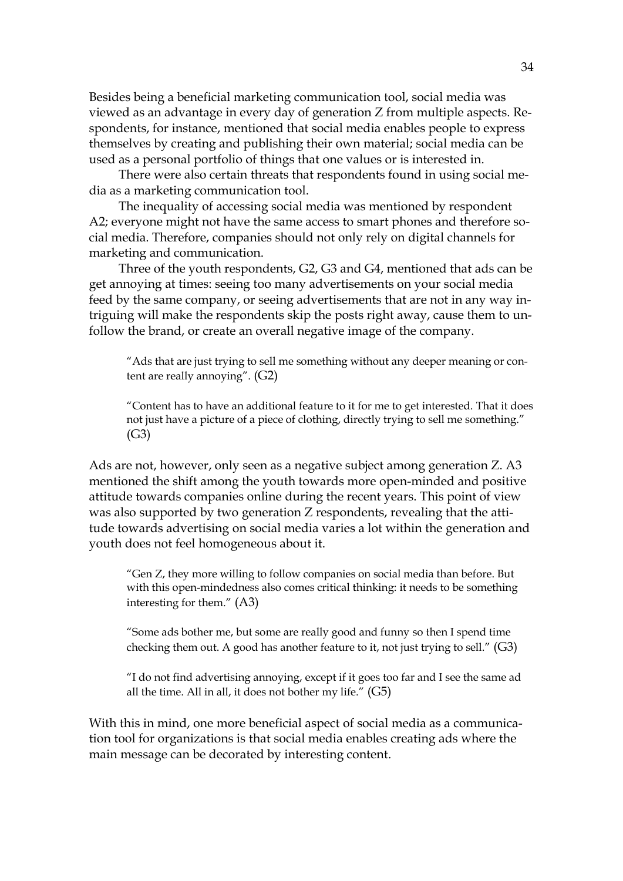Besides being a beneficial marketing communication tool, social media was viewed as an advantage in every day of generation Z from multiple aspects. Respondents, for instance, mentioned that social media enables people to express themselves by creating and publishing their own material; social media can be used as a personal portfolio of things that one values or is interested in.

There were also certain threats that respondents found in using social media as a marketing communication tool.

The inequality of accessing social media was mentioned by respondent A2; everyone might not have the same access to smart phones and therefore social media. Therefore, companies should not only rely on digital channels for marketing and communication.

Three of the youth respondents, G2, G3 and G4, mentioned that ads can be get annoying at times: seeing too many advertisements on your social media feed by the same company, or seeing advertisements that are not in any way intriguing will make the respondents skip the posts right away, cause them to unfollow the brand, or create an overall negative image of the company.

"Ads that are just trying to sell me something without any deeper meaning or content are really annoying". (G2)

"Content has to have an additional feature to it for me to get interested. That it does not just have a picture of a piece of clothing, directly trying to sell me something." (G3)

Ads are not, however, only seen as a negative subject among generation Z. A3 mentioned the shift among the youth towards more open-minded and positive attitude towards companies online during the recent years. This point of view was also supported by two generation Z respondents, revealing that the attitude towards advertising on social media varies a lot within the generation and youth does not feel homogeneous about it.

"Gen Z, they more willing to follow companies on social media than before. But with this open-mindedness also comes critical thinking: it needs to be something interesting for them." (A3)

"Some ads bother me, but some are really good and funny so then I spend time checking them out. A good has another feature to it, not just trying to sell." (G3)

"I do not find advertising annoying, except if it goes too far and I see the same ad all the time. All in all, it does not bother my life." (G5)

With this in mind, one more beneficial aspect of social media as a communication tool for organizations is that social media enables creating ads where the main message can be decorated by interesting content.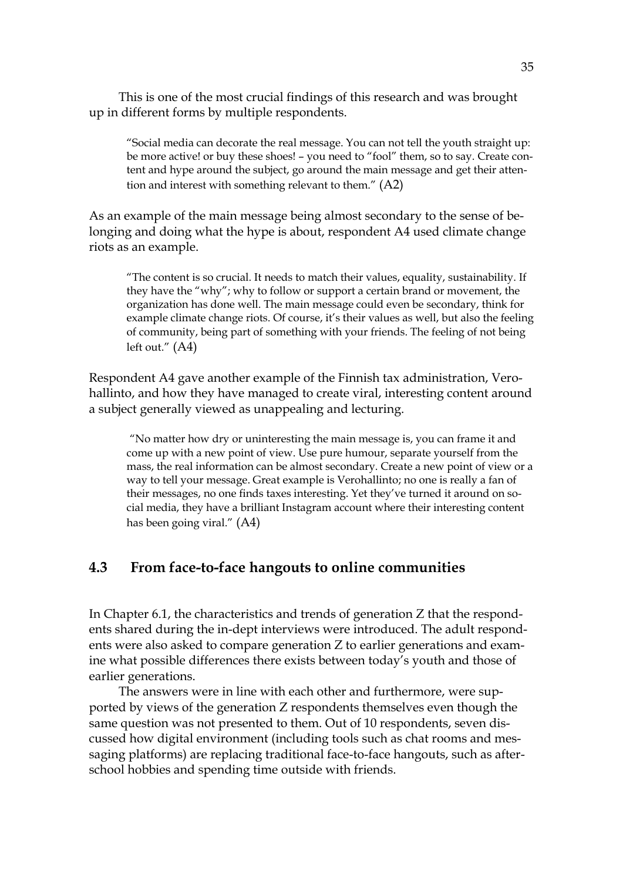This is one of the most crucial findings of this research and was brought up in different forms by multiple respondents.

"Social media can decorate the real message. You can not tell the youth straight up: be more active! or buy these shoes! – you need to "fool" them, so to say. Create content and hype around the subject, go around the main message and get their attention and interest with something relevant to them." (A2)

As an example of the main message being almost secondary to the sense of belonging and doing what the hype is about, respondent A4 used climate change riots as an example.

"The content is so crucial. It needs to match their values, equality, sustainability. If they have the "why"; why to follow or support a certain brand or movement, the organization has done well. The main message could even be secondary, think for example climate change riots. Of course, it's their values as well, but also the feeling of community, being part of something with your friends. The feeling of not being left out."  $(A4)$ 

Respondent A4 gave another example of the Finnish tax administration, Verohallinto, and how they have managed to create viral, interesting content around a subject generally viewed as unappealing and lecturing.

"No matter how dry or uninteresting the main message is, you can frame it and come up with a new point of view. Use pure humour, separate yourself from the mass, the real information can be almost secondary. Create a new point of view or a way to tell your message. Great example is Verohallinto; no one is really a fan of their messages, no one finds taxes interesting. Yet they've turned it around on social media, they have a brilliant Instagram account where their interesting content has been going viral." (A4)

### <span id="page-32-0"></span>**4.3 From face-to-face hangouts to online communities**

In Chapter 6.1, the characteristics and trends of generation Z that the respondents shared during the in-dept interviews were introduced. The adult respondents were also asked to compare generation Z to earlier generations and examine what possible differences there exists between today's youth and those of earlier generations.

The answers were in line with each other and furthermore, were supported by views of the generation Z respondents themselves even though the same question was not presented to them. Out of 10 respondents, seven discussed how digital environment (including tools such as chat rooms and messaging platforms) are replacing traditional face-to-face hangouts, such as afterschool hobbies and spending time outside with friends.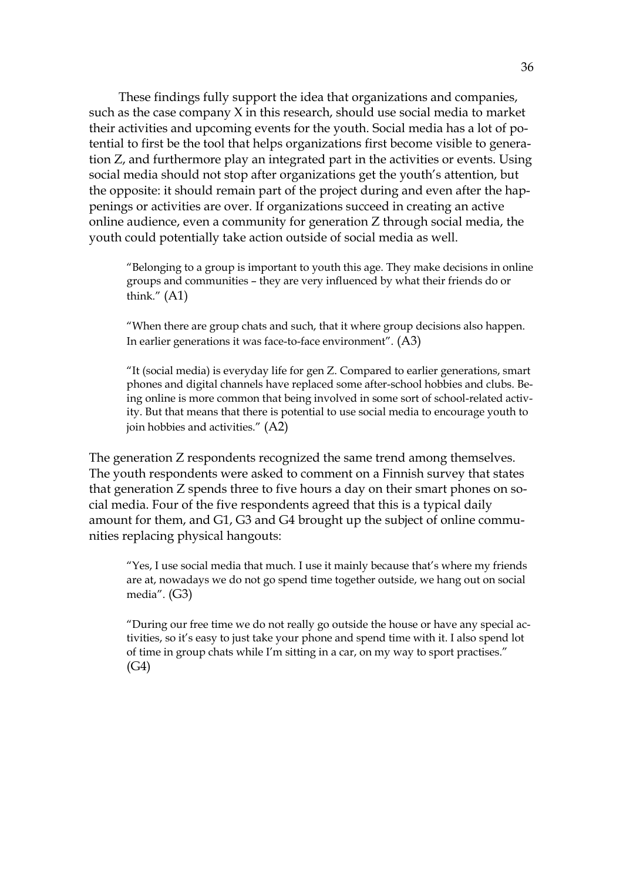These findings fully support the idea that organizations and companies, such as the case company X in this research, should use social media to market their activities and upcoming events for the youth. Social media has a lot of potential to first be the tool that helps organizations first become visible to generation Z, and furthermore play an integrated part in the activities or events. Using social media should not stop after organizations get the youth's attention, but the opposite: it should remain part of the project during and even after the happenings or activities are over. If organizations succeed in creating an active online audience, even a community for generation Z through social media, the youth could potentially take action outside of social media as well.

"Belonging to a group is important to youth this age. They make decisions in online groups and communities – they are very influenced by what their friends do or think." (A1)

"When there are group chats and such, that it where group decisions also happen. In earlier generations it was face-to-face environment". (A3)

"It (social media) is everyday life for gen Z. Compared to earlier generations, smart phones and digital channels have replaced some after-school hobbies and clubs. Being online is more common that being involved in some sort of school-related activity. But that means that there is potential to use social media to encourage youth to join hobbies and activities." (A2)

The generation Z respondents recognized the same trend among themselves. The youth respondents were asked to comment on a Finnish survey that states that generation Z spends three to five hours a day on their smart phones on social media. Four of the five respondents agreed that this is a typical daily amount for them, and G1, G3 and G4 brought up the subject of online communities replacing physical hangouts:

"Yes, I use social media that much. I use it mainly because that's where my friends are at, nowadays we do not go spend time together outside, we hang out on social media". (G3)

"During our free time we do not really go outside the house or have any special activities, so it's easy to just take your phone and spend time with it. I also spend lot of time in group chats while I'm sitting in a car, on my way to sport practises." (G4)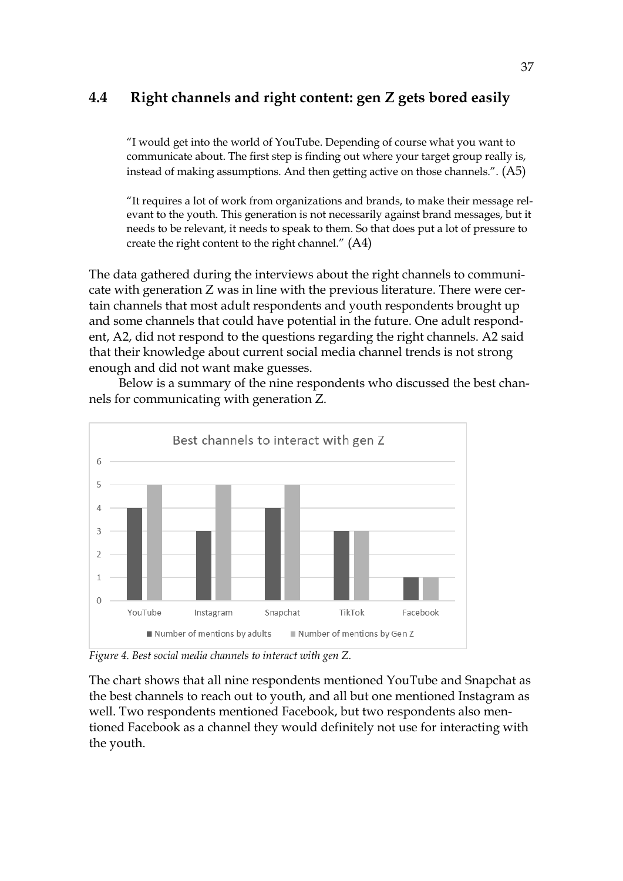## <span id="page-34-0"></span>**4.4 Right channels and right content: gen Z gets bored easily**

"I would get into the world of YouTube. Depending of course what you want to communicate about. The first step is finding out where your target group really is, instead of making assumptions. And then getting active on those channels.". (A5)

"It requires a lot of work from organizations and brands, to make their message relevant to the youth. This generation is not necessarily against brand messages, but it needs to be relevant, it needs to speak to them. So that does put a lot of pressure to create the right content to the right channel." (A4)

The data gathered during the interviews about the right channels to communicate with generation Z was in line with the previous literature. There were certain channels that most adult respondents and youth respondents brought up and some channels that could have potential in the future. One adult respondent, A2, did not respond to the questions regarding the right channels. A2 said that their knowledge about current social media channel trends is not strong enough and did not want make guesses.

Below is a summary of the nine respondents who discussed the best channels for communicating with generation Z.



*Figure 4. Best social media channels to interact with gen Z.*

The chart shows that all nine respondents mentioned YouTube and Snapchat as the best channels to reach out to youth, and all but one mentioned Instagram as well. Two respondents mentioned Facebook, but two respondents also mentioned Facebook as a channel they would definitely not use for interacting with the youth.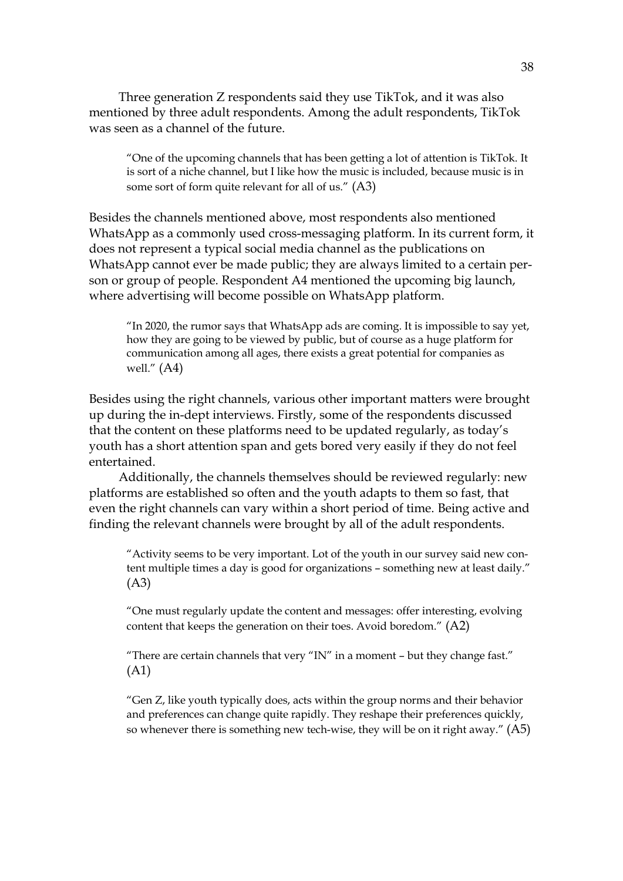Three generation Z respondents said they use TikTok, and it was also mentioned by three adult respondents. Among the adult respondents, TikTok was seen as a channel of the future.

"One of the upcoming channels that has been getting a lot of attention is TikTok. It is sort of a niche channel, but I like how the music is included, because music is in some sort of form quite relevant for all of us." (A3)

Besides the channels mentioned above, most respondents also mentioned WhatsApp as a commonly used cross-messaging platform. In its current form, it does not represent a typical social media channel as the publications on WhatsApp cannot ever be made public; they are always limited to a certain person or group of people. Respondent A4 mentioned the upcoming big launch, where advertising will become possible on WhatsApp platform.

"In 2020, the rumor says that WhatsApp ads are coming. It is impossible to say yet, how they are going to be viewed by public, but of course as a huge platform for communication among all ages, there exists a great potential for companies as well." (A4)

Besides using the right channels, various other important matters were brought up during the in-dept interviews. Firstly, some of the respondents discussed that the content on these platforms need to be updated regularly, as today's youth has a short attention span and gets bored very easily if they do not feel entertained.

Additionally, the channels themselves should be reviewed regularly: new platforms are established so often and the youth adapts to them so fast, that even the right channels can vary within a short period of time. Being active and finding the relevant channels were brought by all of the adult respondents.

"Activity seems to be very important. Lot of the youth in our survey said new content multiple times a day is good for organizations – something new at least daily." (A3)

"One must regularly update the content and messages: offer interesting, evolving content that keeps the generation on their toes. Avoid boredom." (A2)

"There are certain channels that very "IN" in a moment – but they change fast." (A1)

"Gen Z, like youth typically does, acts within the group norms and their behavior and preferences can change quite rapidly. They reshape their preferences quickly, so whenever there is something new tech-wise, they will be on it right away." (A5)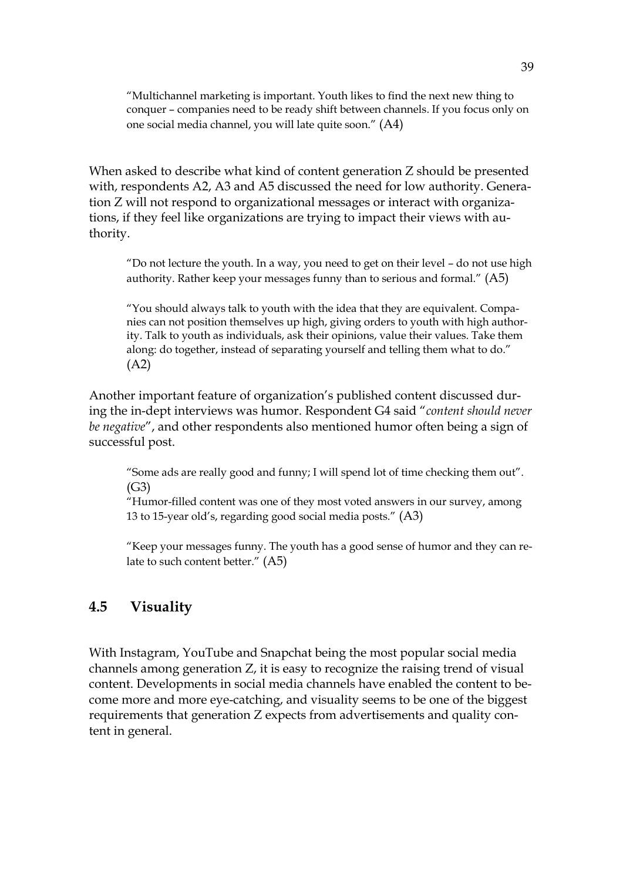"Multichannel marketing is important. Youth likes to find the next new thing to conquer – companies need to be ready shift between channels. If you focus only on one social media channel, you will late quite soon." (A4)

When asked to describe what kind of content generation Z should be presented with, respondents A2, A3 and A5 discussed the need for low authority. Generation Z will not respond to organizational messages or interact with organizations, if they feel like organizations are trying to impact their views with authority.

"Do not lecture the youth. In a way, you need to get on their level – do not use high authority. Rather keep your messages funny than to serious and formal." (A5)

"You should always talk to youth with the idea that they are equivalent. Companies can not position themselves up high, giving orders to youth with high authority. Talk to youth as individuals, ask their opinions, value their values. Take them along: do together, instead of separating yourself and telling them what to do." (A2)

Another important feature of organization's published content discussed during the in-dept interviews was humor. Respondent G4 said "*content should never be negative*", and other respondents also mentioned humor often being a sign of successful post.

"Some ads are really good and funny; I will spend lot of time checking them out". (G3)

"Humor-filled content was one of they most voted answers in our survey, among 13 to 15-year old's, regarding good social media posts." (A3)

"Keep your messages funny. The youth has a good sense of humor and they can relate to such content better." (A5)

## <span id="page-36-0"></span>**4.5 Visuality**

With Instagram, YouTube and Snapchat being the most popular social media channels among generation Z, it is easy to recognize the raising trend of visual content. Developments in social media channels have enabled the content to become more and more eye-catching, and visuality seems to be one of the biggest requirements that generation Z expects from advertisements and quality content in general.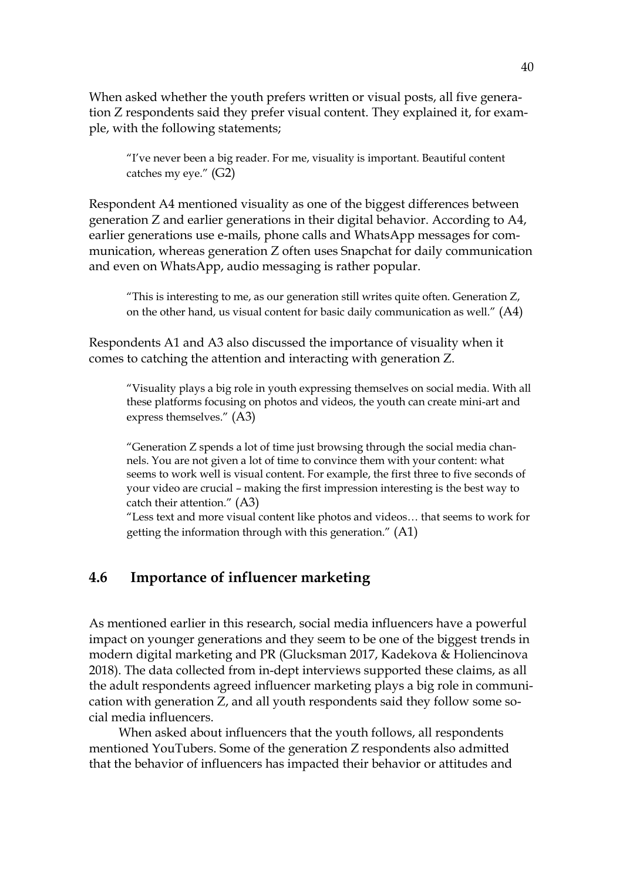When asked whether the youth prefers written or visual posts, all five generation Z respondents said they prefer visual content. They explained it, for example, with the following statements;

"I've never been a big reader. For me, visuality is important. Beautiful content catches my eye." (G2)

Respondent A4 mentioned visuality as one of the biggest differences between generation Z and earlier generations in their digital behavior. According to A4, earlier generations use e-mails, phone calls and WhatsApp messages for communication, whereas generation Z often uses Snapchat for daily communication and even on WhatsApp, audio messaging is rather popular.

"This is interesting to me, as our generation still writes quite often. Generation Z, on the other hand, us visual content for basic daily communication as well." (A4)

Respondents A1 and A3 also discussed the importance of visuality when it comes to catching the attention and interacting with generation Z.

"Visuality plays a big role in youth expressing themselves on social media. With all these platforms focusing on photos and videos, the youth can create mini-art and express themselves." (A3)

"Generation Z spends a lot of time just browsing through the social media channels. You are not given a lot of time to convince them with your content: what seems to work well is visual content. For example, the first three to five seconds of your video are crucial – making the first impression interesting is the best way to catch their attention." (A3)

"Less text and more visual content like photos and videos… that seems to work for getting the information through with this generation." (A1)

### <span id="page-37-0"></span>**4.6 Importance of influencer marketing**

As mentioned earlier in this research, social media influencers have a powerful impact on younger generations and they seem to be one of the biggest trends in modern digital marketing and PR (Glucksman 2017, Kadekova & Holiencinova 2018). The data collected from in-dept interviews supported these claims, as all the adult respondents agreed influencer marketing plays a big role in communication with generation Z, and all youth respondents said they follow some social media influencers.

When asked about influencers that the youth follows, all respondents mentioned YouTubers. Some of the generation Z respondents also admitted that the behavior of influencers has impacted their behavior or attitudes and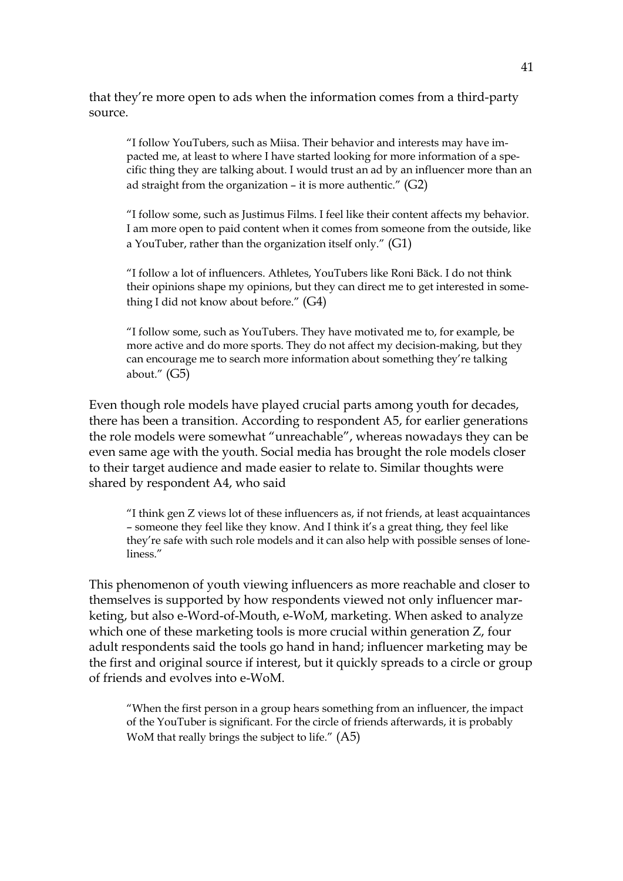that they're more open to ads when the information comes from a third-party source.

"I follow YouTubers, such as Miisa. Their behavior and interests may have impacted me, at least to where I have started looking for more information of a specific thing they are talking about. I would trust an ad by an influencer more than an ad straight from the organization – it is more authentic." (G2)

"I follow some, such as Justimus Films. I feel like their content affects my behavior. I am more open to paid content when it comes from someone from the outside, like a YouTuber, rather than the organization itself only." (G1)

"I follow a lot of influencers. Athletes, YouTubers like Roni Bäck. I do not think their opinions shape my opinions, but they can direct me to get interested in something I did not know about before." (G4)

"I follow some, such as YouTubers. They have motivated me to, for example, be more active and do more sports. They do not affect my decision-making, but they can encourage me to search more information about something they're talking about." (G5)

Even though role models have played crucial parts among youth for decades, there has been a transition. According to respondent A5, for earlier generations the role models were somewhat "unreachable", whereas nowadays they can be even same age with the youth. Social media has brought the role models closer to their target audience and made easier to relate to. Similar thoughts were shared by respondent A4, who said

"I think gen Z views lot of these influencers as, if not friends, at least acquaintances – someone they feel like they know. And I think it's a great thing, they feel like they're safe with such role models and it can also help with possible senses of loneliness."

This phenomenon of youth viewing influencers as more reachable and closer to themselves is supported by how respondents viewed not only influencer marketing, but also e-Word-of-Mouth, e-WoM, marketing. When asked to analyze which one of these marketing tools is more crucial within generation Z, four adult respondents said the tools go hand in hand; influencer marketing may be the first and original source if interest, but it quickly spreads to a circle or group of friends and evolves into e-WoM.

"When the first person in a group hears something from an influencer, the impact of the YouTuber is significant. For the circle of friends afterwards, it is probably WoM that really brings the subject to life." (A5)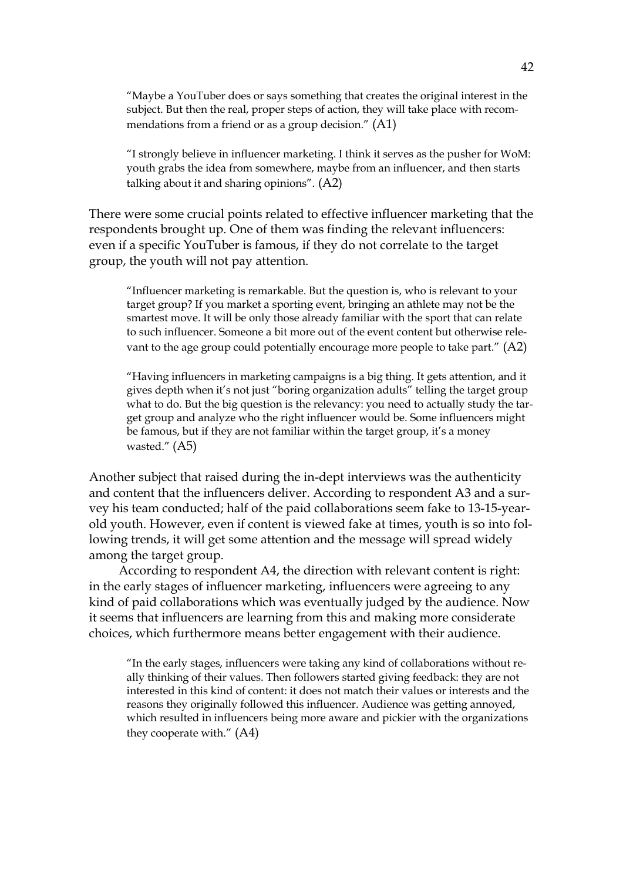"Maybe a YouTuber does or says something that creates the original interest in the subject. But then the real, proper steps of action, they will take place with recommendations from a friend or as a group decision." (A1)

"I strongly believe in influencer marketing. I think it serves as the pusher for WoM: youth grabs the idea from somewhere, maybe from an influencer, and then starts talking about it and sharing opinions". (A2)

There were some crucial points related to effective influencer marketing that the respondents brought up. One of them was finding the relevant influencers: even if a specific YouTuber is famous, if they do not correlate to the target group, the youth will not pay attention.

"Influencer marketing is remarkable. But the question is, who is relevant to your target group? If you market a sporting event, bringing an athlete may not be the smartest move. It will be only those already familiar with the sport that can relate to such influencer. Someone a bit more out of the event content but otherwise relevant to the age group could potentially encourage more people to take part." (A2)

"Having influencers in marketing campaigns is a big thing. It gets attention, and it gives depth when it's not just "boring organization adults" telling the target group what to do. But the big question is the relevancy: you need to actually study the target group and analyze who the right influencer would be. Some influencers might be famous, but if they are not familiar within the target group, it's a money wasted." (A5)

Another subject that raised during the in-dept interviews was the authenticity and content that the influencers deliver. According to respondent A3 and a survey his team conducted; half of the paid collaborations seem fake to 13-15-yearold youth. However, even if content is viewed fake at times, youth is so into following trends, it will get some attention and the message will spread widely among the target group.

According to respondent A4, the direction with relevant content is right: in the early stages of influencer marketing, influencers were agreeing to any kind of paid collaborations which was eventually judged by the audience. Now it seems that influencers are learning from this and making more considerate choices, which furthermore means better engagement with their audience.

"In the early stages, influencers were taking any kind of collaborations without really thinking of their values. Then followers started giving feedback: they are not interested in this kind of content: it does not match their values or interests and the reasons they originally followed this influencer. Audience was getting annoyed, which resulted in influencers being more aware and pickier with the organizations they cooperate with." (A4)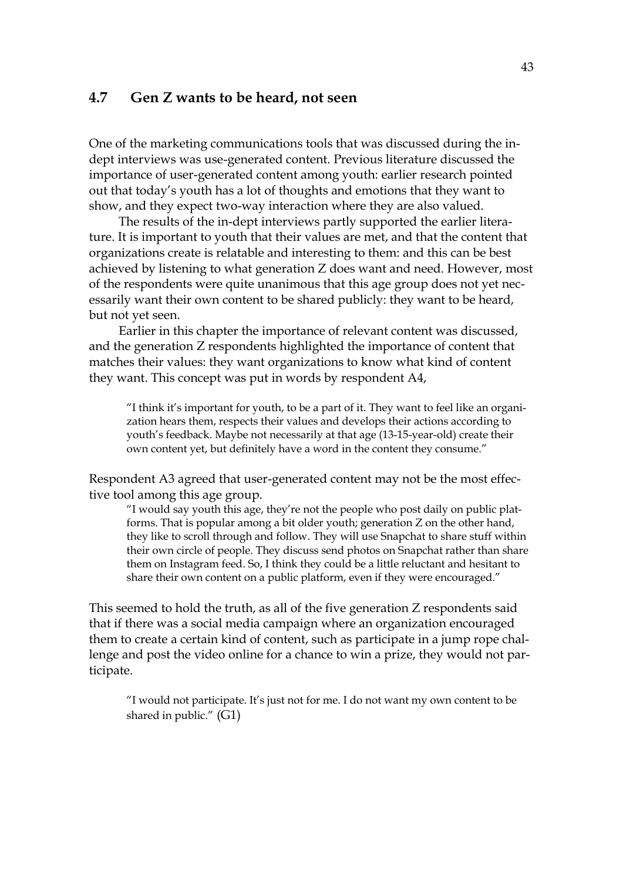### <span id="page-40-0"></span>**4.7 Gen Z wants to be heard, not seen**

One of the marketing communications tools that was discussed during the indept interviews was use-generated content. Previous literature discussed the importance of user-generated content among youth: earlier research pointed out that today's youth has a lot of thoughts and emotions that they want to show, and they expect two-way interaction where they are also valued.

The results of the in-dept interviews partly supported the earlier literature. It is important to youth that their values are met, and that the content that organizations create is relatable and interesting to them: and this can be best achieved by listening to what generation Z does want and need. However, most of the respondents were quite unanimous that this age group does not yet necessarily want their own content to be shared publicly: they want to be heard, but not yet seen.

Earlier in this chapter the importance of relevant content was discussed, and the generation Z respondents highlighted the importance of content that matches their values: they want organizations to know what kind of content they want. This concept was put in words by respondent A4,

"I think it's important for youth, to be a part of it. They want to feel like an organization hears them, respects their values and develops their actions according to youth's feedback. Maybe not necessarily at that age (13-15-year-old) create their own content yet, but definitely have a word in the content they consume."

Respondent A3 agreed that user-generated content may not be the most effective tool among this age group.

"I would say youth this age, they're not the people who post daily on public platforms. That is popular among a bit older youth; generation Z on the other hand, they like to scroll through and follow. They will use Snapchat to share stuff within their own circle of people. They discuss send photos on Snapchat rather than share them on Instagram feed. So, I think they could be a little reluctant and hesitant to share their own content on a public platform, even if they were encouraged."

This seemed to hold the truth, as all of the five generation Z respondents said that if there was a social media campaign where an organization encouraged them to create a certain kind of content, such as participate in a jump rope challenge and post the video online for a chance to win a prize, they would not participate.

"I would not participate. It's just not for me. I do not want my own content to be shared in public." (G1)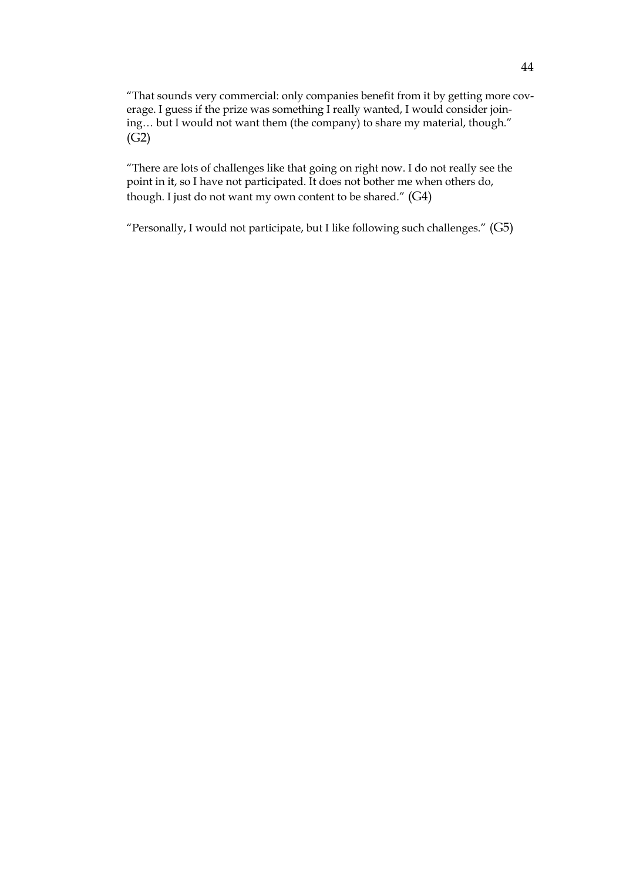"That sounds very commercial: only companies benefit from it by getting more coverage. I guess if the prize was something I really wanted, I would consider joining… but I would not want them (the company) to share my material, though." (G2)

"There are lots of challenges like that going on right now. I do not really see the point in it, so I have not participated. It does not bother me when others do, though. I just do not want my own content to be shared." (G4)

"Personally, I would not participate, but I like following such challenges." (G5)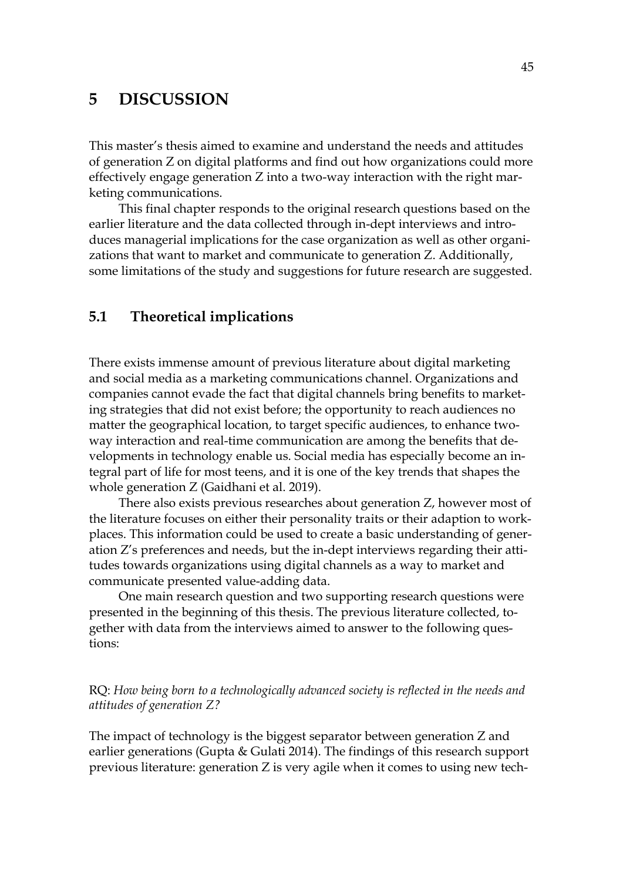## <span id="page-42-0"></span>**5 DISCUSSION**

This master's thesis aimed to examine and understand the needs and attitudes of generation Z on digital platforms and find out how organizations could more effectively engage generation Z into a two-way interaction with the right marketing communications.

This final chapter responds to the original research questions based on the earlier literature and the data collected through in-dept interviews and introduces managerial implications for the case organization as well as other organizations that want to market and communicate to generation Z. Additionally, some limitations of the study and suggestions for future research are suggested.

## <span id="page-42-1"></span>**5.1 Theoretical implications**

There exists immense amount of previous literature about digital marketing and social media as a marketing communications channel. Organizations and companies cannot evade the fact that digital channels bring benefits to marketing strategies that did not exist before; the opportunity to reach audiences no matter the geographical location, to target specific audiences, to enhance twoway interaction and real-time communication are among the benefits that developments in technology enable us. Social media has especially become an integral part of life for most teens, and it is one of the key trends that shapes the whole generation Z (Gaidhani et al. 2019).

There also exists previous researches about generation Z, however most of the literature focuses on either their personality traits or their adaption to workplaces. This information could be used to create a basic understanding of generation Z's preferences and needs, but the in-dept interviews regarding their attitudes towards organizations using digital channels as a way to market and communicate presented value-adding data.

One main research question and two supporting research questions were presented in the beginning of this thesis. The previous literature collected, together with data from the interviews aimed to answer to the following questions:

RQ: *How being born to a technologically advanced society is reflected in the needs and attitudes of generation Z?*

The impact of technology is the biggest separator between generation Z and earlier generations (Gupta & Gulati 2014). The findings of this research support previous literature: generation Z is very agile when it comes to using new tech-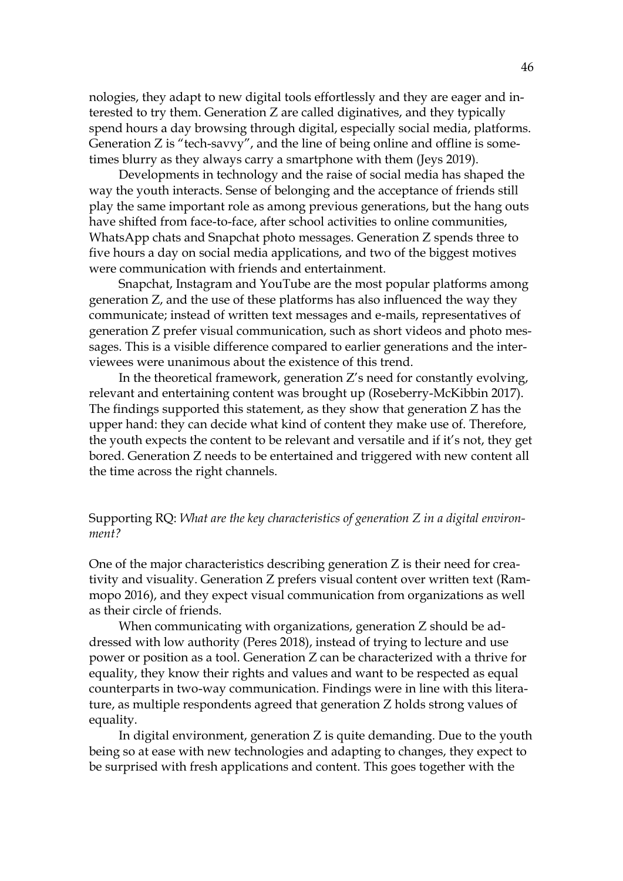nologies, they adapt to new digital tools effortlessly and they are eager and interested to try them. Generation Z are called diginatives, and they typically spend hours a day browsing through digital, especially social media, platforms. Generation Z is "tech-savvy", and the line of being online and offline is sometimes blurry as they always carry a smartphone with them (Jeys 2019).

Developments in technology and the raise of social media has shaped the way the youth interacts. Sense of belonging and the acceptance of friends still play the same important role as among previous generations, but the hang outs have shifted from face-to-face, after school activities to online communities, WhatsApp chats and Snapchat photo messages. Generation Z spends three to five hours a day on social media applications, and two of the biggest motives were communication with friends and entertainment.

Snapchat, Instagram and YouTube are the most popular platforms among generation Z, and the use of these platforms has also influenced the way they communicate; instead of written text messages and e-mails, representatives of generation Z prefer visual communication, such as short videos and photo messages. This is a visible difference compared to earlier generations and the interviewees were unanimous about the existence of this trend.

In the theoretical framework, generation Z's need for constantly evolving, relevant and entertaining content was brought up (Roseberry-McKibbin 2017). The findings supported this statement, as they show that generation Z has the upper hand: they can decide what kind of content they make use of. Therefore, the youth expects the content to be relevant and versatile and if it's not, they get bored. Generation Z needs to be entertained and triggered with new content all the time across the right channels.

#### Supporting RQ: *What are the key characteristics of generation Z in a digital environment?*

One of the major characteristics describing generation Z is their need for creativity and visuality. Generation Z prefers visual content over written text (Rammopo 2016), and they expect visual communication from organizations as well as their circle of friends.

When communicating with organizations, generation Z should be addressed with low authority (Peres 2018), instead of trying to lecture and use power or position as a tool. Generation Z can be characterized with a thrive for equality, they know their rights and values and want to be respected as equal counterparts in two-way communication. Findings were in line with this literature, as multiple respondents agreed that generation Z holds strong values of equality.

In digital environment, generation Z is quite demanding. Due to the youth being so at ease with new technologies and adapting to changes, they expect to be surprised with fresh applications and content. This goes together with the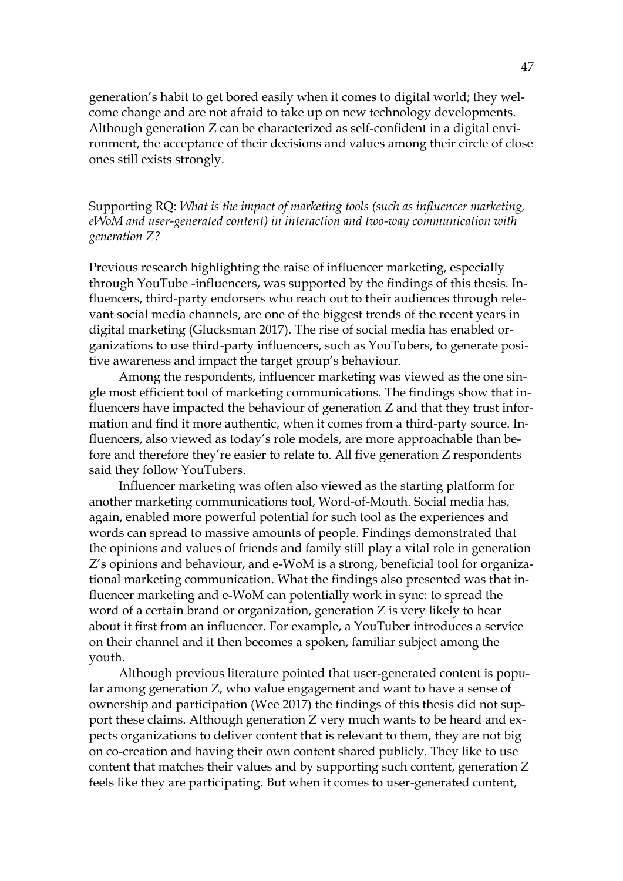generation's habit to get bored easily when it comes to digital world; they welcome change and are not afraid to take up on new technology developments. Although generation Z can be characterized as self-confident in a digital environment, the acceptance of their decisions and values among their circle of close ones still exists strongly.

Supporting RQ: *What is the impact of marketing tools (such as influencer marketing, eWoM and user-generated content) in interaction and two-way communication with generation Z?*

Previous research highlighting the raise of influencer marketing, especially through YouTube -influencers, was supported by the findings of this thesis. Influencers, third-party endorsers who reach out to their audiences through relevant social media channels, are one of the biggest trends of the recent years in digital marketing (Glucksman 2017). The rise of social media has enabled organizations to use third-party influencers, such as YouTubers, to generate positive awareness and impact the target group's behaviour.

Among the respondents, influencer marketing was viewed as the one single most efficient tool of marketing communications. The findings show that influencers have impacted the behaviour of generation Z and that they trust information and find it more authentic, when it comes from a third-party source. Influencers, also viewed as today's role models, are more approachable than before and therefore they're easier to relate to. All five generation Z respondents said they follow YouTubers.

Influencer marketing was often also viewed as the starting platform for another marketing communications tool, Word-of-Mouth. Social media has, again, enabled more powerful potential for such tool as the experiences and words can spread to massive amounts of people. Findings demonstrated that the opinions and values of friends and family still play a vital role in generation Z's opinions and behaviour, and e-WoM is a strong, beneficial tool for organizational marketing communication. What the findings also presented was that influencer marketing and e-WoM can potentially work in sync: to spread the word of a certain brand or organization, generation Z is very likely to hear about it first from an influencer. For example, a YouTuber introduces a service on their channel and it then becomes a spoken, familiar subject among the youth.

Although previous literature pointed that user-generated content is popular among generation Z, who value engagement and want to have a sense of ownership and participation (Wee 2017) the findings of this thesis did not support these claims. Although generation Z very much wants to be heard and expects organizations to deliver content that is relevant to them, they are not big on co-creation and having their own content shared publicly. They like to use content that matches their values and by supporting such content, generation Z feels like they are participating. But when it comes to user-generated content,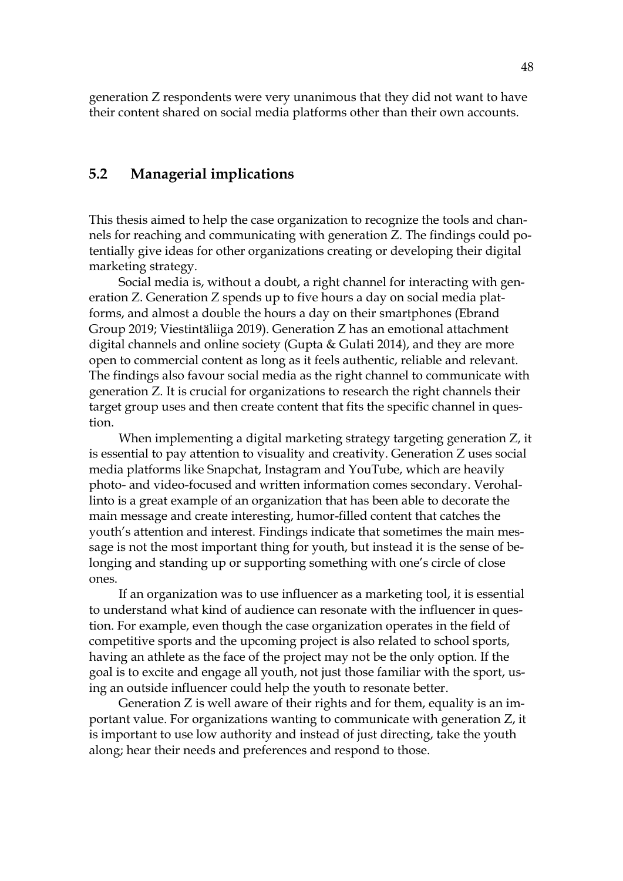generation Z respondents were very unanimous that they did not want to have their content shared on social media platforms other than their own accounts.

## <span id="page-45-0"></span>**5.2 Managerial implications**

This thesis aimed to help the case organization to recognize the tools and channels for reaching and communicating with generation Z. The findings could potentially give ideas for other organizations creating or developing their digital marketing strategy.

Social media is, without a doubt, a right channel for interacting with generation Z. Generation Z spends up to five hours a day on social media platforms, and almost a double the hours a day on their smartphones (Ebrand Group 2019; Viestintäliiga 2019). Generation Z has an emotional attachment digital channels and online society (Gupta & Gulati 2014), and they are more open to commercial content as long as it feels authentic, reliable and relevant. The findings also favour social media as the right channel to communicate with generation Z. It is crucial for organizations to research the right channels their target group uses and then create content that fits the specific channel in question.

When implementing a digital marketing strategy targeting generation Z, it is essential to pay attention to visuality and creativity. Generation Z uses social media platforms like Snapchat, Instagram and YouTube, which are heavily photo- and video-focused and written information comes secondary. Verohallinto is a great example of an organization that has been able to decorate the main message and create interesting, humor-filled content that catches the youth's attention and interest. Findings indicate that sometimes the main message is not the most important thing for youth, but instead it is the sense of belonging and standing up or supporting something with one's circle of close ones.

If an organization was to use influencer as a marketing tool, it is essential to understand what kind of audience can resonate with the influencer in question. For example, even though the case organization operates in the field of competitive sports and the upcoming project is also related to school sports, having an athlete as the face of the project may not be the only option. If the goal is to excite and engage all youth, not just those familiar with the sport, using an outside influencer could help the youth to resonate better.

Generation Z is well aware of their rights and for them, equality is an important value. For organizations wanting to communicate with generation Z, it is important to use low authority and instead of just directing, take the youth along; hear their needs and preferences and respond to those.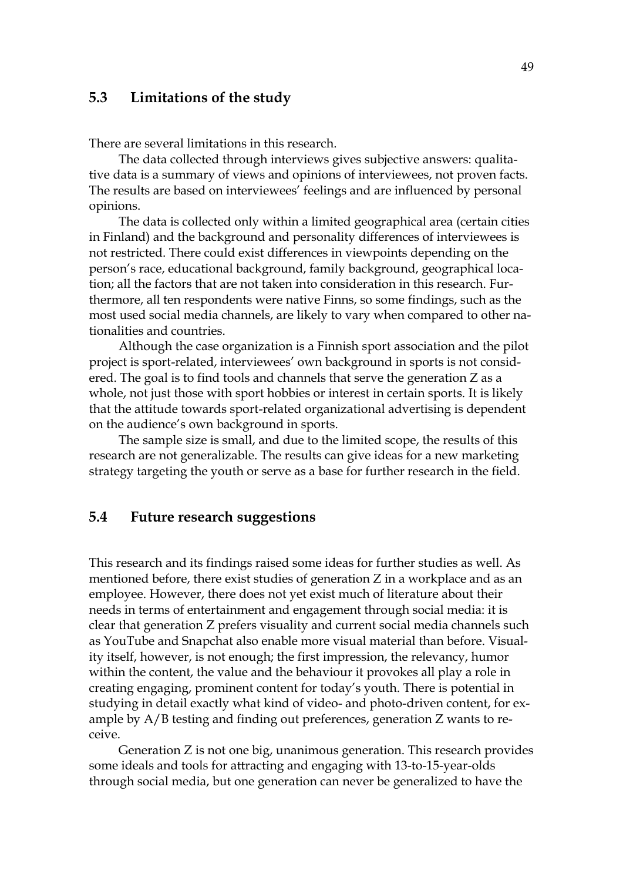## <span id="page-46-0"></span>**5.3 Limitations of the study**

There are several limitations in this research.

The data collected through interviews gives subjective answers: qualitative data is a summary of views and opinions of interviewees, not proven facts. The results are based on interviewees' feelings and are influenced by personal opinions.

The data is collected only within a limited geographical area (certain cities in Finland) and the background and personality differences of interviewees is not restricted. There could exist differences in viewpoints depending on the person's race, educational background, family background, geographical location; all the factors that are not taken into consideration in this research. Furthermore, all ten respondents were native Finns, so some findings, such as the most used social media channels, are likely to vary when compared to other nationalities and countries.

Although the case organization is a Finnish sport association and the pilot project is sport-related, interviewees' own background in sports is not considered. The goal is to find tools and channels that serve the generation Z as a whole, not just those with sport hobbies or interest in certain sports. It is likely that the attitude towards sport-related organizational advertising is dependent on the audience's own background in sports.

The sample size is small, and due to the limited scope, the results of this research are not generalizable. The results can give ideas for a new marketing strategy targeting the youth or serve as a base for further research in the field.

### <span id="page-46-1"></span>**5.4 Future research suggestions**

This research and its findings raised some ideas for further studies as well. As mentioned before, there exist studies of generation Z in a workplace and as an employee. However, there does not yet exist much of literature about their needs in terms of entertainment and engagement through social media: it is clear that generation Z prefers visuality and current social media channels such as YouTube and Snapchat also enable more visual material than before. Visuality itself, however, is not enough; the first impression, the relevancy, humor within the content, the value and the behaviour it provokes all play a role in creating engaging, prominent content for today's youth. There is potential in studying in detail exactly what kind of video- and photo-driven content, for example by A/B testing and finding out preferences, generation Z wants to receive.

Generation Z is not one big, unanimous generation. This research provides some ideals and tools for attracting and engaging with 13-to-15-year-olds through social media, but one generation can never be generalized to have the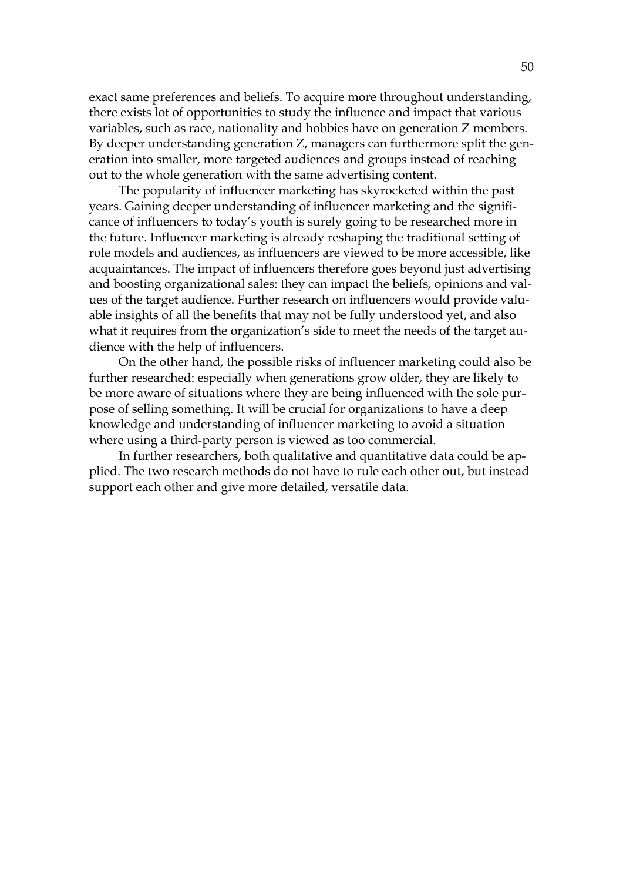exact same preferences and beliefs. To acquire more throughout understanding, there exists lot of opportunities to study the influence and impact that various variables, such as race, nationality and hobbies have on generation Z members. By deeper understanding generation Z, managers can furthermore split the generation into smaller, more targeted audiences and groups instead of reaching out to the whole generation with the same advertising content.

The popularity of influencer marketing has skyrocketed within the past years. Gaining deeper understanding of influencer marketing and the significance of influencers to today's youth is surely going to be researched more in the future. Influencer marketing is already reshaping the traditional setting of role models and audiences, as influencers are viewed to be more accessible, like acquaintances. The impact of influencers therefore goes beyond just advertising and boosting organizational sales: they can impact the beliefs, opinions and values of the target audience. Further research on influencers would provide valuable insights of all the benefits that may not be fully understood yet, and also what it requires from the organization's side to meet the needs of the target audience with the help of influencers.

On the other hand, the possible risks of influencer marketing could also be further researched: especially when generations grow older, they are likely to be more aware of situations where they are being influenced with the sole purpose of selling something. It will be crucial for organizations to have a deep knowledge and understanding of influencer marketing to avoid a situation where using a third-party person is viewed as too commercial.

In further researchers, both qualitative and quantitative data could be applied. The two research methods do not have to rule each other out, but instead support each other and give more detailed, versatile data.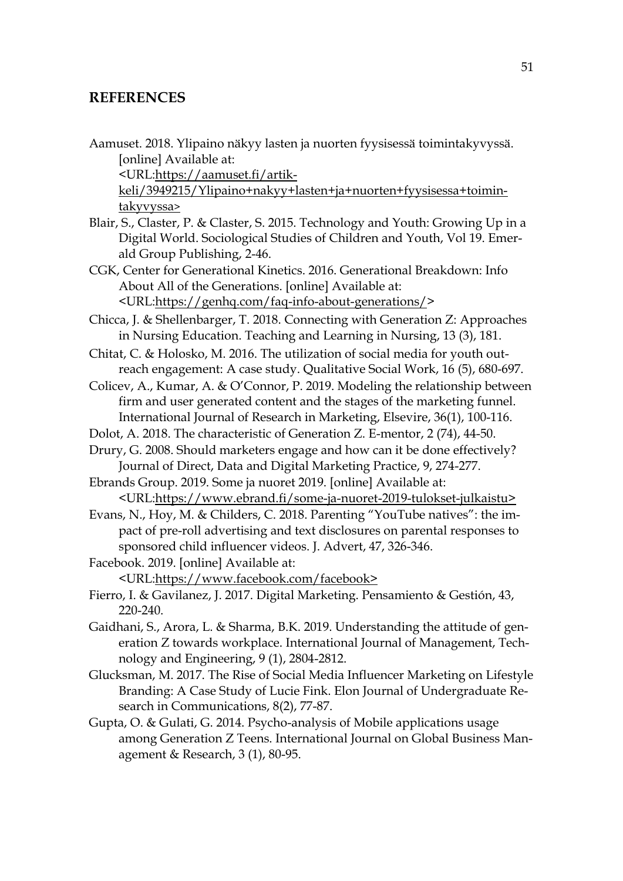# <span id="page-48-0"></span>**REFERENCES**

| Aamuset. 2018. Ylipaino näkyy lasten ja nuorten fyysisessä toimintakyvyssä.                                                                                                                                                           |
|---------------------------------------------------------------------------------------------------------------------------------------------------------------------------------------------------------------------------------------|
| [online] Available at:                                                                                                                                                                                                                |
| <url:https: aamuset.fi="" artik-<="" td=""></url:https:>                                                                                                                                                                              |
| keli/3949215/Ylipaino+nakyy+lasten+ja+nuorten+fyysisessa+toimin-                                                                                                                                                                      |
| takyvyssa>                                                                                                                                                                                                                            |
| Blair, S., Claster, P. & Claster, S. 2015. Technology and Youth: Growing Up in a<br>Digital World. Sociological Studies of Children and Youth, Vol 19. Emer-<br>ald Group Publishing, 2-46.                                           |
| CGK, Center for Generational Kinetics. 2016. Generational Breakdown: Info                                                                                                                                                             |
| About All of the Generations. [online] Available at:                                                                                                                                                                                  |
| <url:https: faq-info-about-generations="" genhq.com=""></url:https:>                                                                                                                                                                  |
| Chicca, J. & Shellenbarger, T. 2018. Connecting with Generation Z: Approaches<br>in Nursing Education. Teaching and Learning in Nursing, 13 (3), 181.                                                                                 |
| Chitat, C. & Holosko, M. 2016. The utilization of social media for youth out-<br>reach engagement: A case study. Qualitative Social Work, 16 (5), 680-697.                                                                            |
| Colicev, A., Kumar, A. & O'Connor, P. 2019. Modeling the relationship between<br>firm and user generated content and the stages of the marketing funnel.<br>International Journal of Research in Marketing, Elsevire, 36(1), 100-116. |
| Dolot, A. 2018. The characteristic of Generation Z. E-mentor, 2 (74), 44-50.                                                                                                                                                          |
| Drury, G. 2008. Should marketers engage and how can it be done effectively?<br>Journal of Direct, Data and Digital Marketing Practice, 9, 274-277.                                                                                    |
| Ebrands Group. 2019. Some ja nuoret 2019. [online] Available at:                                                                                                                                                                      |
| <url:https: some-ja-nuoret-2019-tulokset-julkaistu="" www.ebrand.fi=""></url:https:>                                                                                                                                                  |
| Evans, N., Hoy, M. & Childers, C. 2018. Parenting "YouTube natives": the im-                                                                                                                                                          |
| pact of pre-roll advertising and text disclosures on parental responses to<br>sponsored child influencer videos. J. Advert, 47, 326-346.                                                                                              |
| Facebook. 2019. [online] Available at:                                                                                                                                                                                                |
| <url:https: facebook="" www.facebook.com=""></url:https:>                                                                                                                                                                             |
| Fierro, I. & Gavilanez, J. 2017. Digital Marketing. Pensamiento & Gestión, 43,<br>220-240.                                                                                                                                            |
| Gaidhani, S., Arora, L. & Sharma, B.K. 2019. Understanding the attitude of gen-<br>eration Z towards workplace. International Journal of Management, Tech-<br>nology and Engineering, 9 (1), 2804-2812.                               |
| Glucksman, M. 2017. The Rise of Social Media Influencer Marketing on Lifestyle                                                                                                                                                        |
| Branding: A Case Study of Lucie Fink. Elon Journal of Undergraduate Re-<br>search in Communications, 8(2), 77-87.                                                                                                                     |
| Gupta, O. & Gulati, G. 2014. Psycho-analysis of Mobile applications usage                                                                                                                                                             |
| among Generation Z Teens. International Journal on Global Business Man-<br>agement & Research, 3 (1), 80-95.                                                                                                                          |
|                                                                                                                                                                                                                                       |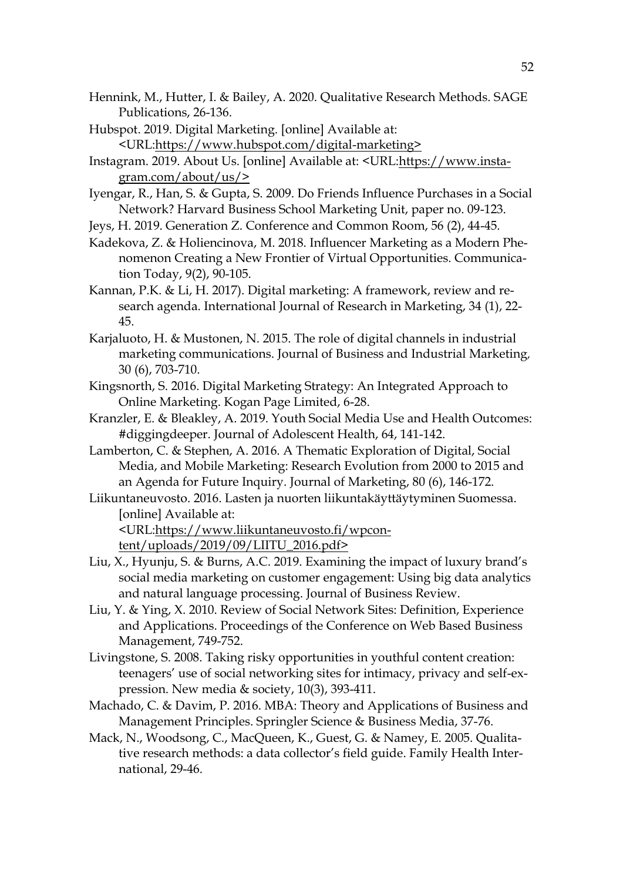- Hennink, M., Hutter, I. & Bailey, A. 2020. Qualitative Research Methods. SAGE Publications, 26-136.
- Hubspot. 2019. Digital Marketing. [online] Available at: <URL[:https://www.hubspot.com/digital-marketing>](https://www.hubspot.com/digital-marketing)
- Instagram. 2019. About Us. [online] Available at: <URL[:https://www.insta](https://www.instagram.com/about/us/)[gram.com/about/us/>](https://www.instagram.com/about/us/)
- Iyengar, R., Han, S. & Gupta, S. 2009. Do Friends Influence Purchases in a Social Network? Harvard Business School Marketing Unit, paper no. 09-123.
- Jeys, H. 2019. Generation Z. Conference and Common Room, 56 (2), 44-45.
- Kadekova, Z. & Holiencinova, M. 2018. Influencer Marketing as a Modern Phenomenon Creating a New Frontier of Virtual Opportunities. Communication Today, 9(2), 90-105.
- Kannan, P.K. & Li, H. 2017). Digital marketing: A framework, review and research agenda. International Journal of Research in Marketing, 34 (1), 22- 45.
- Karjaluoto, H. & Mustonen, N. 2015. The role of digital channels in industrial marketing communications. Journal of Business and Industrial Marketing*,* 30 (6), 703-710.
- Kingsnorth, S. 2016. Digital Marketing Strategy: An Integrated Approach to Online Marketing. Kogan Page Limited, 6-28.
- Kranzler, E. & Bleakley, A. 2019. Youth Social Media Use and Health Outcomes: #diggingdeeper. Journal of Adolescent Health, 64, 141-142.
- Lamberton, C. & Stephen, A. 2016. A Thematic Exploration of Digital, Social Media, and Mobile Marketing: Research Evolution from 2000 to 2015 and an Agenda for Future Inquiry. Journal of Marketing, 80 (6), 146-172.
- Liikuntaneuvosto. 2016. Lasten ja nuorten liikuntakäyttäytyminen Suomessa. [online] Available at:

<URL[:https://www.liikuntaneuvosto.fi/wpcon](https://www.liikuntaneuvosto.fi/wpcontent/uploads/2019/09/LIITU_2016.pdf)[tent/uploads/2019/09/LIITU\\_2016.pdf>](https://www.liikuntaneuvosto.fi/wpcontent/uploads/2019/09/LIITU_2016.pdf)

- Liu, X., Hyunju, S. & Burns, A.C. 2019. Examining the impact of luxury brand's social media marketing on customer engagement: Using big data analytics and natural language processing. Journal of Business Review.
- Liu, Y. & Ying, X. 2010. Review of Social Network Sites: Definition, Experience and Applications. Proceedings of the Conference on Web Based Business Management, 749-752.
- Livingstone, S. 2008. Taking risky opportunities in youthful content creation: teenagers' use of social networking sites for intimacy, privacy and self-expression. New media  $\&$  society, 10(3), 393-411.
- Machado, C. & Davim, P. 2016. MBA: Theory and Applications of Business and Management Principles. Springler Science & Business Media, 37-76.
- Mack, N., Woodsong, C., MacQueen, K., Guest, G. & Namey, E. 2005. Qualitative research methods: a data collector's field guide. Family Health International, 29-46.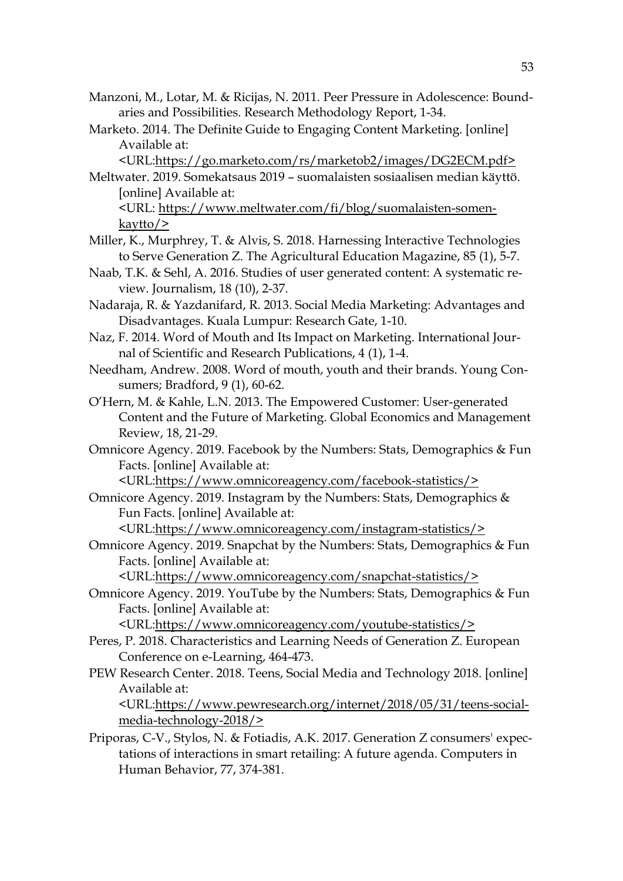- Manzoni, M., Lotar, M. & Ricijas, N. 2011. Peer Pressure in Adolescence: Boundaries and Possibilities. Research Methodology Report, 1-34.
- Marketo. 2014. The Definite Guide to Engaging Content Marketing. [online] Available at:

<URL[:https://go.marketo.com/rs/marketob2/images/DG2ECM.pdf>](https://go.marketo.com/rs/marketob2/images/DG2ECM.pdf)

- Meltwater. 2019. Somekatsaus 2019 suomalaisten sosiaalisen median käyttö. [online] Available at: <URL: [https://www.meltwater.com/fi/blog/suomalaisten-somen](https://www.meltwater.com/fi/blog/suomalaisten-somen-kaytto/)[kaytto/>](https://www.meltwater.com/fi/blog/suomalaisten-somen-kaytto/)
- Miller, K., Murphrey, T. & Alvis, S. 2018. Harnessing Interactive Technologies to Serve Generation Z. The Agricultural Education Magazine, 85 (1), 5-7.
- Naab, T.K. & Sehl, A. 2016. Studies of user generated content: A systematic review. Journalism, 18 (10), 2-37.
- Nadaraja, R. & Yazdanifard, R. 2013. Social Media Marketing: Advantages and Disadvantages. Kuala Lumpur: Research Gate, 1-10.
- Naz, F. 2014. Word of Mouth and Its Impact on Marketing. International Journal of Scientific and Research Publications, 4 (1), 1-4.
- Needham, Andrew. 2008. Word of mouth, youth and their brands. Young Consumers; Bradford, 9 (1), 60-62.
- O'Hern, M. & Kahle, L.N. 2013. The Empowered Customer: User-generated Content and the Future of Marketing. Global Economics and Management Review, 18, 21-29.
- Omnicore Agency. 2019. Facebook by the Numbers: Stats, Demographics & Fun Facts. [online] Available at:

<URL[:https://www.omnicoreagency.com/facebook-statistics/>](https://www.omnicoreagency.com/facebook-statistics/)

Omnicore Agency. 2019. Instagram by the Numbers: Stats, Demographics & Fun Facts. [online] Available at:

<URL[:https://www.omnicoreagency.com/instagram-statistics/>](https://www.omnicoreagency.com/instagram-statistics/)

Omnicore Agency. 2019. Snapchat by the Numbers: Stats, Demographics & Fun Facts. [online] Available at:

<URL[:https://www.omnicoreagency.com/snapchat-statistics/>](https://www.omnicoreagency.com/snapchat-statistics/)

Omnicore Agency. 2019. YouTube by the Numbers: Stats, Demographics & Fun Facts. [online] Available at:

<URL[:https://www.omnicoreagency.com/youtube-statistics/>](https://www.omnicoreagency.com/youtube-statistics/)

- Peres, P. 2018. Characteristics and Learning Needs of Generation Z. European Conference on e-Learning, 464-473.
- PEW Research Center. 2018. Teens, Social Media and Technology 2018. [online] Available at:

<URL[:https://www.pewresearch.org/internet/2018/05/31/teens-social](https://www.pewresearch.org/internet/2018/05/31/teens-social-media-technology-2018/)[media-technology-2018/>](https://www.pewresearch.org/internet/2018/05/31/teens-social-media-technology-2018/)

Priporas, C-V., Stylos, N. & Fotiadis, A.K. 2017. Generation Z consumers' expectations of interactions in smart retailing: A future agenda. Computers in Human Behavior, 77, 374-381.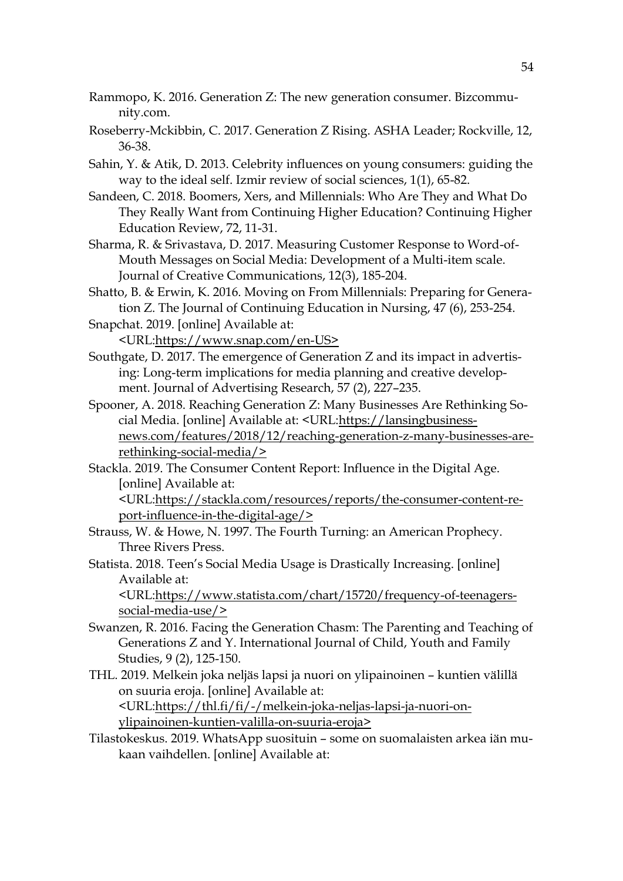- Rammopo, K. 2016. Generation Z: The new generation consumer. Bizcommunity.com.
- Roseberry-Mckibbin, C. 2017. Generation Z Rising. ASHA Leader; Rockville, 12, 36-38.
- Sahin, Y. & Atik, D. 2013. Celebrity influences on young consumers: guiding the way to the ideal self. Izmir review of social sciences, 1(1), 65-82.
- Sandeen, C. 2018. Boomers, Xers, and Millennials: Who Are They and What Do They Really Want from Continuing Higher Education? Continuing Higher Education Review, 72, 11-31.
- Sharma, R. & Srivastava, D. 2017. Measuring Customer Response to Word-of-Mouth Messages on Social Media: Development of a Multi-item scale. Journal of Creative Communications, 12(3), 185-204.
- Shatto, B. & Erwin, K. 2016. Moving on From Millennials: Preparing for Generation Z. The Journal of Continuing Education in Nursing, 47 (6), 253-254.
- Snapchat. 2019. [online] Available at: <URL[:https://www.snap.com/en-US>](https://www.snap.com/en-US)
- Southgate, D. 2017. The emergence of Generation Z and its impact in advertising: Long-term implications for media planning and creative development. Journal of Advertising Research, 57 (2), 227–235.
- Spooner, A. 2018. Reaching Generation Z: Many Businesses Are Rethinking Social Media. [online] Available at: <URL[:https://lansingbusiness](https://lansingbusinessnews.com/features/2018/12/reaching-generation-z-many-businesses-are-rethinking-social-media/)[news.com/features/2018/12/reaching-generation-z-many-businesses-are](https://lansingbusinessnews.com/features/2018/12/reaching-generation-z-many-businesses-are-rethinking-social-media/)[rethinking-social-media/>](https://lansingbusinessnews.com/features/2018/12/reaching-generation-z-many-businesses-are-rethinking-social-media/)
- Stackla. 2019. The Consumer Content Report: Influence in the Digital Age. [online] Available at: <URL[:https://stackla.com/resources/reports/the-consumer-content-re](https://stackla.com/resources/reports/the-consumer-content-report-influence-in-the-digital-age/)[port-influence-in-the-digital-age/>](https://stackla.com/resources/reports/the-consumer-content-report-influence-in-the-digital-age/)
- Strauss, W. & Howe, N. 1997. The Fourth Turning: an American Prophecy. Three Rivers Press.
- Statista. 2018. Teen's Social Media Usage is Drastically Increasing. [online] Available at:

<URL[:https://www.statista.com/chart/15720/frequency-of-teenagers](https://www.statista.com/chart/15720/frequency-of-teenagers-social-media-use/)[social-media-use/>](https://www.statista.com/chart/15720/frequency-of-teenagers-social-media-use/)

- Swanzen, R. 2016. Facing the Generation Chasm: The Parenting and Teaching of Generations Z and Y. International Journal of Child, Youth and Family Studies, 9 (2), 125-150.
- THL. 2019. Melkein joka neljäs lapsi ja nuori on ylipainoinen kuntien välillä on suuria eroja. [online] Available at: <URL[:https://thl.fi/fi/-/melkein-joka-neljas-lapsi-ja-nuori-on](https://thl.fi/fi/-/melkein-joka-neljas-lapsi-ja-nuori-on-ylipainoinen-kuntien-valilla-on-suuria-eroja)[ylipainoinen-kuntien-valilla-on-suuria-eroja>](https://thl.fi/fi/-/melkein-joka-neljas-lapsi-ja-nuori-on-ylipainoinen-kuntien-valilla-on-suuria-eroja)
- Tilastokeskus. 2019. WhatsApp suosituin some on suomalaisten arkea iän mukaan vaihdellen. [online] Available at: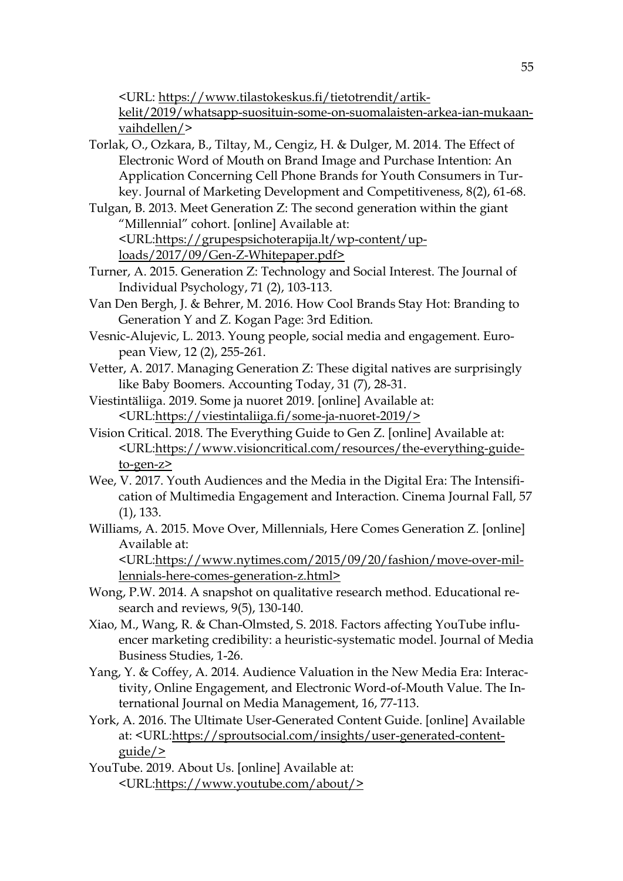<URL: [https://www.tilastokeskus.fi/tietotrendit/artik-](https://www.tilastokeskus.fi/tietotrendit/artikkelit/2019/whatsapp-suosituin-some-on-suomalaisten-arkea-ian-mukaan-vaihdellen/)

[kelit/2019/whatsapp-suosituin-some-on-suomalaisten-arkea-ian-mukaan](https://www.tilastokeskus.fi/tietotrendit/artikkelit/2019/whatsapp-suosituin-some-on-suomalaisten-arkea-ian-mukaan-vaihdellen/)[vaihdellen/>](https://www.tilastokeskus.fi/tietotrendit/artikkelit/2019/whatsapp-suosituin-some-on-suomalaisten-arkea-ian-mukaan-vaihdellen/)

- Torlak, O., Ozkara, B., Tiltay, M., Cengiz, H. & Dulger, M. 2014. The Effect of Electronic Word of Mouth on Brand Image and Purchase Intention: An Application Concerning Cell Phone Brands for Youth Consumers in Turkey. Journal of Marketing Development and Competitiveness, 8(2), 61-68.
- Tulgan, B. 2013. Meet Generation Z: The second generation within the giant "Millennial" cohort. [online] Available at: <URL[:https://grupespsichoterapija.lt/wp-content/up](https://grupespsichoterapija.lt/wp-content/uploads/2017/09/Gen-Z-Whitepaper.pdf)[loads/2017/09/Gen-Z-Whitepaper.pdf>](https://grupespsichoterapija.lt/wp-content/uploads/2017/09/Gen-Z-Whitepaper.pdf)
- Turner, A. 2015. Generation Z: Technology and Social Interest. The Journal of Individual Psychology, 71 (2), 103-113.
- Van Den Bergh, J. & Behrer, M. 2016. How Cool Brands Stay Hot: Branding to Generation Y and Z. Kogan Page: 3rd Edition.
- Vesnic-Alujevic, L. 2013. Young people, social media and engagement. European View, 12 (2), 255-261.
- Vetter, A. 2017. Managing Generation Z: These digital natives are surprisingly like Baby Boomers. Accounting Today, 31 (7), 28-31.
- Viestintäliiga. 2019. Some ja nuoret 2019. [online] Available at: <URL[:https://viestintaliiga.fi/some-ja-nuoret-2019/>](https://viestintaliiga.fi/some-ja-nuoret-2019/)
- Vision Critical. 2018. The Everything Guide to Gen Z. [online] Available at: <URL[:https://www.visioncritical.com/resources/the-everything-guide](https://www.visioncritical.com/resources/the-everything-guide-to-gen-z)[to-gen-z>](https://www.visioncritical.com/resources/the-everything-guide-to-gen-z)
- Wee, V. 2017. Youth Audiences and the Media in the Digital Era: The Intensification of Multimedia Engagement and Interaction. Cinema Journal Fall, 57 (1), 133.
- Williams, A. 2015. Move Over, Millennials, Here Comes Generation Z. [online] Available at:

<URL[:https://www.nytimes.com/2015/09/20/fashion/move-over-mil](https://www.nytimes.com/2015/09/20/fashion/move-over-millennials-here-comes-generation-z.html)[lennials-here-comes-generation-z.html>](https://www.nytimes.com/2015/09/20/fashion/move-over-millennials-here-comes-generation-z.html)

- Wong, P.W. 2014. A snapshot on qualitative research method. Educational research and reviews, 9(5), 130-140.
- Xiao, M., Wang, R. & Chan-Olmsted, S. 2018. Factors affecting YouTube influencer marketing credibility: a heuristic-systematic model. Journal of Media Business Studies, 1-26.
- Yang, Y. & Coffey, A. 2014. Audience Valuation in the New Media Era: Interactivity, Online Engagement, and Electronic Word-of-Mouth Value. The International Journal on Media Management, 16, 77-113.
- York, A. 2016. The Ultimate User-Generated Content Guide. [online] Available at: <URL[:https://sproutsocial.com/insights/user-generated-content](https://sproutsocial.com/insights/user-generated-content-guide/)[guide/>](https://sproutsocial.com/insights/user-generated-content-guide/)
- YouTube. 2019. About Us. [online] Available at: <URL[:https://www.youtube.com/about/>](https://www.youtube.com/about/)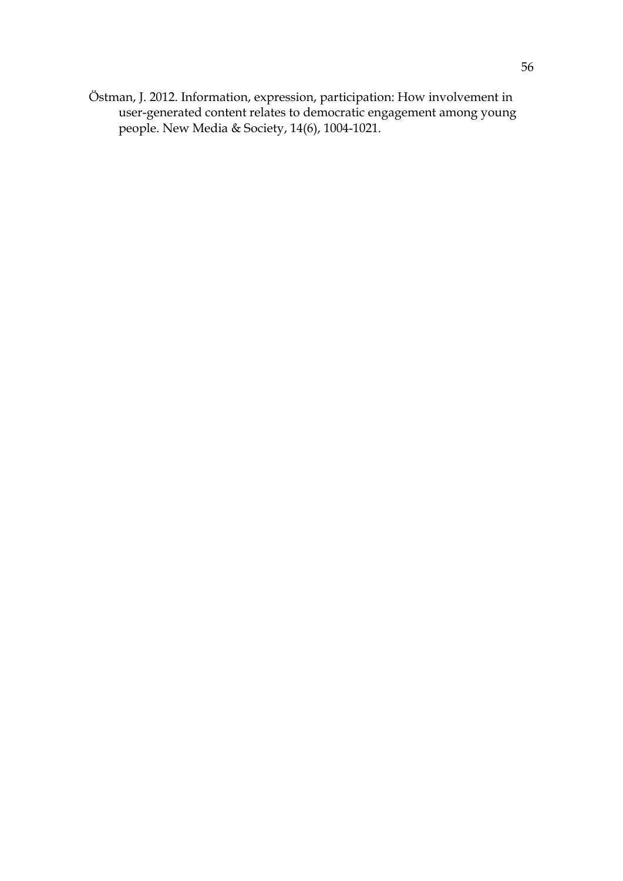Östman, J. 2012. Information, expression, participation: How involvement in user-generated content relates to democratic engagement among young people. New Media & Society, 14(6), 1004-1021.